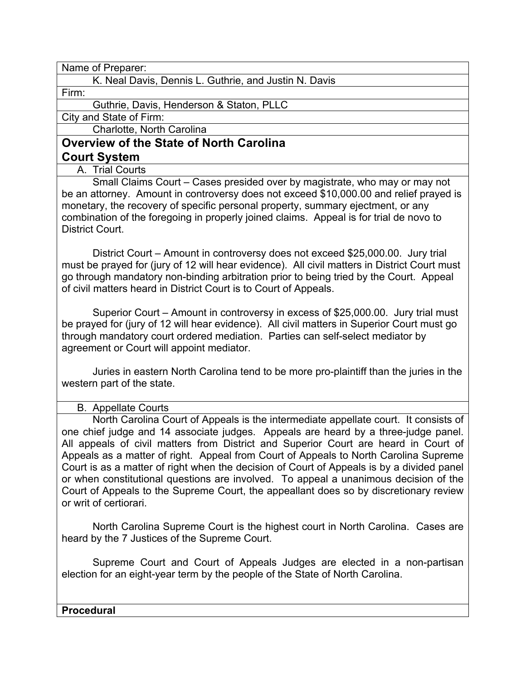Name of Preparer:

K. Neal Davis, Dennis L. Guthrie, and Justin N. Davis

Firm:

Guthrie, Davis, Henderson & Staton, PLLC

City and State of Firm:

Charlotte, North Carolina

# **Overview of the State of North Carolina Court System**

A. Trial Courts

Small Claims Court – Cases presided over by magistrate, who may or may not be an attorney. Amount in controversy does not exceed \$10,000.00 and relief prayed is monetary, the recovery of specific personal property, summary ejectment, or any combination of the foregoing in properly joined claims. Appeal is for trial de novo to District Court.

District Court – Amount in controversy does not exceed \$25,000.00. Jury trial must be prayed for (jury of 12 will hear evidence). All civil matters in District Court must go through mandatory non-binding arbitration prior to being tried by the Court. Appeal of civil matters heard in District Court is to Court of Appeals.

Superior Court – Amount in controversy in excess of \$25,000.00. Jury trial must be prayed for (jury of 12 will hear evidence). All civil matters in Superior Court must go through mandatory court ordered mediation. Parties can self-select mediator by agreement or Court will appoint mediator.

Juries in eastern North Carolina tend to be more pro-plaintiff than the juries in the western part of the state.

B. Appellate Courts

North Carolina Court of Appeals is the intermediate appellate court. It consists of one chief judge and 14 associate judges. Appeals are heard by a three-judge panel. All appeals of civil matters from District and Superior Court are heard in Court of Appeals as a matter of right. Appeal from Court of Appeals to North Carolina Supreme Court is as a matter of right when the decision of Court of Appeals is by a divided panel or when constitutional questions are involved. To appeal a unanimous decision of the Court of Appeals to the Supreme Court, the appeallant does so by discretionary review or writ of certiorari.

North Carolina Supreme Court is the highest court in North Carolina. Cases are heard by the 7 Justices of the Supreme Court.

Supreme Court and Court of Appeals Judges are elected in a non-partisan election for an eight-year term by the people of the State of North Carolina.

**Procedural**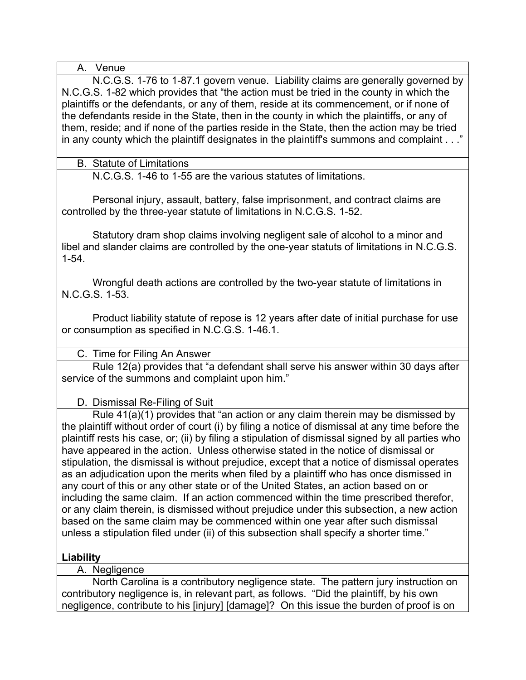A. Venue

N.C.G.S. 1-76 to 1-87.1 govern venue. Liability claims are generally governed by N.C.G.S. 1-82 which provides that "the action must be tried in the county in which the plaintiffs or the defendants, or any of them, reside at its commencement, or if none of the defendants reside in the State, then in the county in which the plaintiffs, or any of them, reside; and if none of the parties reside in the State, then the action may be tried in any county which the plaintiff designates in the plaintiff's summons and complaint . . ."

### B. Statute of Limitations

N.C.G.S. 1-46 to 1-55 are the various statutes of limitations.

Personal injury, assault, battery, false imprisonment, and contract claims are controlled by the three-year statute of limitations in N.C.G.S. 1-52.

Statutory dram shop claims involving negligent sale of alcohol to a minor and libel and slander claims are controlled by the one-year statuts of limitations in N.C.G.S. 1-54.

Wrongful death actions are controlled by the two-year statute of limitations in N.C.G.S. 1-53.

Product liability statute of repose is 12 years after date of initial purchase for use or consumption as specified in N.C.G.S. 1-46.1.

C. Time for Filing An Answer

Rule 12(a) provides that "a defendant shall serve his answer within 30 days after service of the summons and complaint upon him."

# D. Dismissal Re-Filing of Suit

Rule 41(a)(1) provides that "an action or any claim therein may be dismissed by the plaintiff without order of court (i) by filing a notice of dismissal at any time before the plaintiff rests his case, or; (ii) by filing a stipulation of dismissal signed by all parties who have appeared in the action. Unless otherwise stated in the notice of dismissal or stipulation, the dismissal is without prejudice, except that a notice of dismissal operates as an adjudication upon the merits when filed by a plaintiff who has once dismissed in any court of this or any other state or of the United States, an action based on or including the same claim. If an action commenced within the time prescribed therefor, or any claim therein, is dismissed without prejudice under this subsection, a new action based on the same claim may be commenced within one year after such dismissal unless a stipulation filed under (ii) of this subsection shall specify a shorter time."

# **Liability**

A. Negligence

North Carolina is a contributory negligence state. The pattern jury instruction on contributory negligence is, in relevant part, as follows. "Did the plaintiff, by his own negligence, contribute to his [injury] [damage]? On this issue the burden of proof is on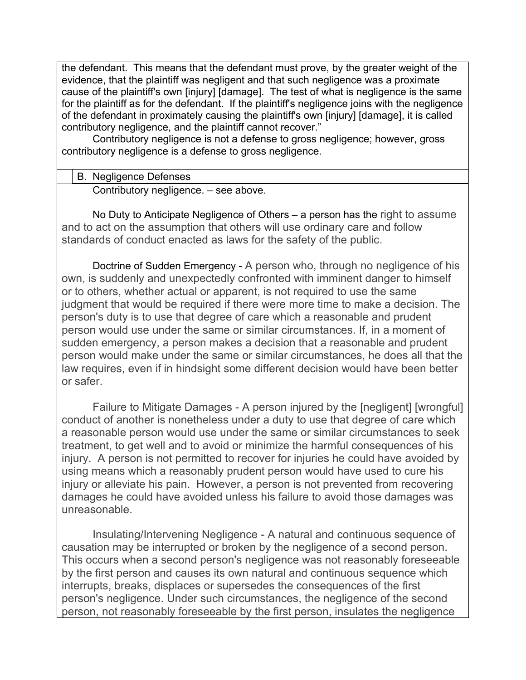the defendant. This means that the defendant must prove, by the greater weight of the evidence, that the plaintiff was negligent and that such negligence was a proximate cause of the plaintiff's own [injury] [damage]. The test of what is negligence is the same for the plaintiff as for the defendant. If the plaintiff's negligence joins with the negligence of the defendant in proximately causing the plaintiff's own [injury] [damage], it is called contributory negligence, and the plaintiff cannot recover."

Contributory negligence is not a defense to gross negligence; however, gross contributory negligence is a defense to gross negligence.

## B. Negligence Defenses

Contributory negligence. – see above.

No Duty to Anticipate Negligence of Others – a person has the right to assume and to act on the assumption that others will use ordinary care and follow standards of conduct enacted as laws for the safety of the public.

Doctrine of Sudden Emergency - A person who, through no negligence of his own, is suddenly and unexpectedly confronted with imminent danger to himself or to others, whether actual or apparent, is not required to use the same judgment that would be required if there were more time to make a decision. The person's duty is to use that degree of care which a reasonable and prudent person would use under the same or similar circumstances. If, in a moment of sudden emergency, a person makes a decision that a reasonable and prudent person would make under the same or similar circumstances, he does all that the law requires, even if in hindsight some different decision would have been better or safer.

Failure to Mitigate Damages - A person injured by the [negligent] [wrongful] conduct of another is nonetheless under a duty to use that degree of care which a reasonable person would use under the same or similar circumstances to seek treatment, to get well and to avoid or minimize the harmful consequences of his injury. A person is not permitted to recover for injuries he could have avoided by using means which a reasonably prudent person would have used to cure his injury or alleviate his pain. However, a person is not prevented from recovering damages he could have avoided unless his failure to avoid those damages was unreasonable.

Insulating/Intervening Negligence - A natural and continuous sequence of causation may be interrupted or broken by the negligence of a second person. This occurs when a second person's negligence was not reasonably foreseeable by the first person and causes its own natural and continuous sequence which interrupts, breaks, displaces or supersedes the consequences of the first person's negligence. Under such circumstances, the negligence of the second person, not reasonably foreseeable by the first person, insulates the negligence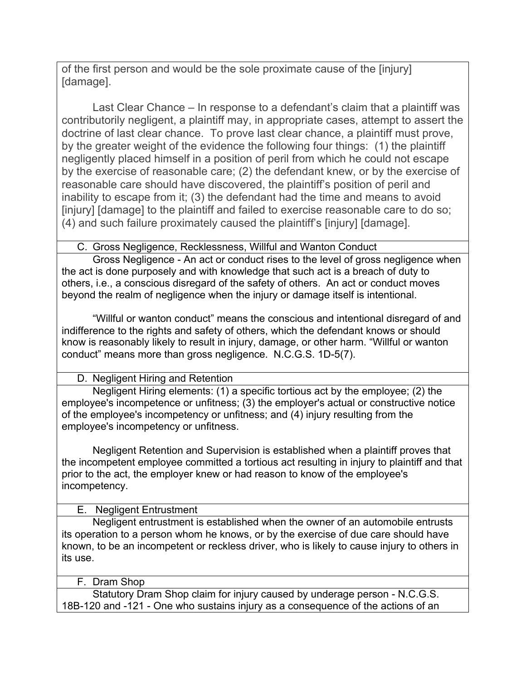of the first person and would be the sole proximate cause of the [injury] [damage].

Last Clear Chance – In response to a defendant's claim that a plaintiff was contributorily negligent, a plaintiff may, in appropriate cases, attempt to assert the doctrine of last clear chance. To prove last clear chance, a plaintiff must prove, by the greater weight of the evidence the following four things: (1) the plaintiff negligently placed himself in a position of peril from which he could not escape by the exercise of reasonable care; (2) the defendant knew, or by the exercise of reasonable care should have discovered, the plaintiff's position of peril and inability to escape from it; (3) the defendant had the time and means to avoid [injury] [damage] to the plaintiff and failed to exercise reasonable care to do so; (4) and such failure proximately caused the plaintiff's [injury] [damage].

## C. Gross Negligence, Recklessness, Willful and Wanton Conduct

Gross Negligence - An act or conduct rises to the level of gross negligence when the act is done purposely and with knowledge that such act is a breach of duty to others, i.e., a conscious disregard of the safety of others. An act or conduct moves beyond the realm of negligence when the injury or damage itself is intentional.

"Willful or wanton conduct" means the conscious and intentional disregard of and indifference to the rights and safety of others, which the defendant knows or should know is reasonably likely to result in injury, damage, or other harm. "Willful or wanton conduct" means more than gross negligence. N.C.G.S. 1D-5(7).

# D. Negligent Hiring and Retention

Negligent Hiring elements: (1) a specific tortious act by the employee; (2) the employee's incompetence or unfitness; (3) the employer's actual or constructive notice of the employee's incompetency or unfitness; and (4) injury resulting from the employee's incompetency or unfitness.

Negligent Retention and Supervision is established when a plaintiff proves that the incompetent employee committed a tortious act resulting in injury to plaintiff and that prior to the act, the employer knew or had reason to know of the employee's incompetency.

### E. Negligent Entrustment

Negligent entrustment is established when the owner of an automobile entrusts its operation to a person whom he knows, or by the exercise of due care should have known, to be an incompetent or reckless driver, who is likely to cause injury to others in its use.

# F. Dram Shop

Statutory Dram Shop claim for injury caused by underage person - N.C.G.S. 18B-120 and -121 - One who sustains injury as a consequence of the actions of an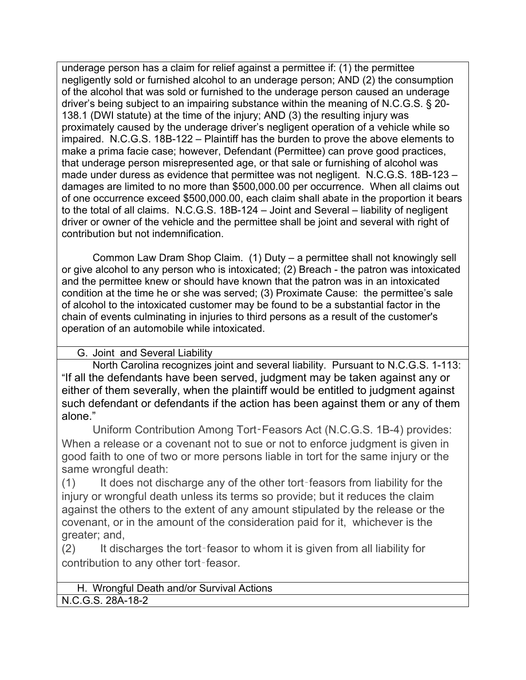underage person has a claim for relief against a permittee if: (1) the permittee negligently sold or furnished alcohol to an underage person; AND (2) the consumption of the alcohol that was sold or furnished to the underage person caused an underage driver's being subject to an impairing substance within the meaning of N.C.G.S. § 20- 138.1 (DWI statute) at the time of the injury; AND (3) the resulting injury was proximately caused by the underage driver's negligent operation of a vehicle while so impaired. N.C.G.S. 18B-122 – Plaintiff has the burden to prove the above elements to make a prima facie case; however, Defendant (Permittee) can prove good practices, that underage person misrepresented age, or that sale or furnishing of alcohol was made under duress as evidence that permittee was not negligent. N.C.G.S. 18B-123 – damages are limited to no more than \$500,000.00 per occurrence. When all claims out of one occurrence exceed \$500,000.00, each claim shall abate in the proportion it bears to the total of all claims. N.C.G.S. 18B-124 – Joint and Several – liability of negligent driver or owner of the vehicle and the permittee shall be joint and several with right of contribution but not indemnification.

Common Law Dram Shop Claim. (1) Duty – a permittee shall not knowingly sell or give alcohol to any person who is intoxicated; (2) Breach - the patron was intoxicated and the permittee knew or should have known that the patron was in an intoxicated condition at the time he or she was served; (3) Proximate Cause: the permittee's sale of alcohol to the intoxicated customer may be found to be a substantial factor in the chain of events culminating in injuries to third persons as a result of the customer's operation of an automobile while intoxicated.

# G. Joint and Several Liability

North Carolina recognizes joint and several liability. Pursuant to N.C.G.S. 1-113: "If all the defendants have been served, judgment may be taken against any or either of them severally, when the plaintiff would be entitled to judgment against such defendant or defendants if the action has been against them or any of them alone."

Uniform Contribution Among Tort‑Feasors Act (N.C.G.S. 1B-4) provides: When a release or a covenant not to sue or not to enforce judgment is given in good faith to one of two or more persons liable in tort for the same injury or the same wrongful death:

(1) It does not discharge any of the other tort‑feasors from liability for the injury or wrongful death unless its terms so provide; but it reduces the claim against the others to the extent of any amount stipulated by the release or the covenant, or in the amount of the consideration paid for it, whichever is the greater; and,

(2) It discharges the tort‑feasor to whom it is given from all liability for contribution to any other tort-feasor.

H. Wrongful Death and/or Survival Actions N.C.G.S. 28A-18-2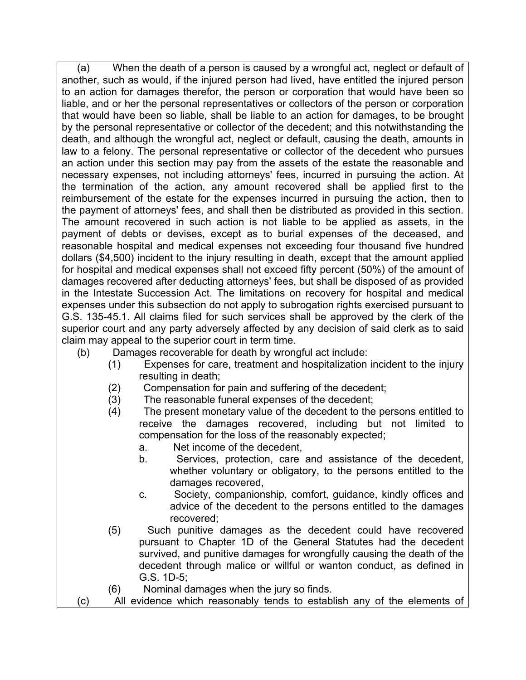(a) When the death of a person is caused by a wrongful act, neglect or default of another, such as would, if the injured person had lived, have entitled the injured person to an action for damages therefor, the person or corporation that would have been so liable, and or her the personal representatives or collectors of the person or corporation that would have been so liable, shall be liable to an action for damages, to be brought by the personal representative or collector of the decedent; and this notwithstanding the death, and although the wrongful act, neglect or default, causing the death, amounts in law to a felony. The personal representative or collector of the decedent who pursues an action under this section may pay from the assets of the estate the reasonable and necessary expenses, not including attorneys' fees, incurred in pursuing the action. At the termination of the action, any amount recovered shall be applied first to the reimbursement of the estate for the expenses incurred in pursuing the action, then to the payment of attorneys' fees, and shall then be distributed as provided in this section. The amount recovered in such action is not liable to be applied as assets, in the payment of debts or devises, except as to burial expenses of the deceased, and reasonable hospital and medical expenses not exceeding four thousand five hundred dollars (\$4,500) incident to the injury resulting in death, except that the amount applied for hospital and medical expenses shall not exceed fifty percent (50%) of the amount of damages recovered after deducting attorneys' fees, but shall be disposed of as provided in the Intestate Succession Act. The limitations on recovery for hospital and medical expenses under this subsection do not apply to subrogation rights exercised pursuant to G.S. 135-45.1. All claims filed for such services shall be approved by the clerk of the superior court and any party adversely affected by any decision of said clerk as to said claim may appeal to the superior court in term time.

- (b) Damages recoverable for death by wrongful act include:
	- (1) Expenses for care, treatment and hospitalization incident to the injury resulting in death;
	- (2) Compensation for pain and suffering of the decedent;
	- (3) The reasonable funeral expenses of the decedent;
	- (4) The present monetary value of the decedent to the persons entitled to receive the damages recovered, including but not limited to compensation for the loss of the reasonably expected;
		- a. Net income of the decedent,
		- b. Services, protection, care and assistance of the decedent, whether voluntary or obligatory, to the persons entitled to the damages recovered,
		- c. Society, companionship, comfort, guidance, kindly offices and advice of the decedent to the persons entitled to the damages recovered;
	- (5) Such punitive damages as the decedent could have recovered pursuant to Chapter 1D of the General Statutes had the decedent survived, and punitive damages for wrongfully causing the death of the decedent through malice or willful or wanton conduct, as defined in G.S. 1D-5;

(6) Nominal damages when the jury so finds.

(c) All evidence which reasonably tends to establish any of the elements of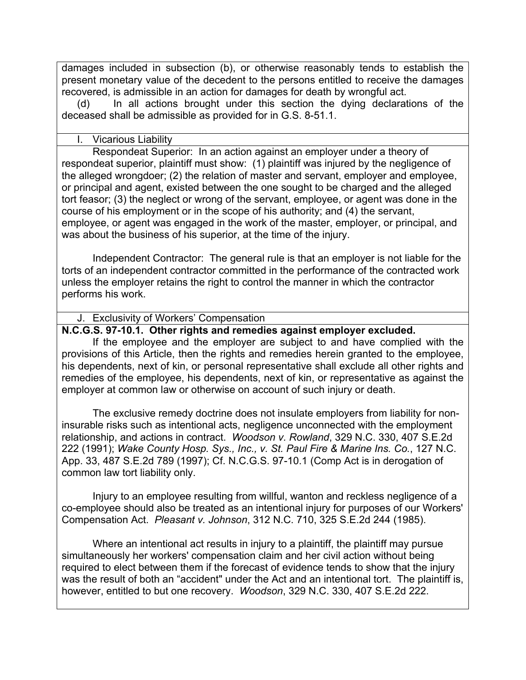damages included in subsection (b), or otherwise reasonably tends to establish the present monetary value of the decedent to the persons entitled to receive the damages recovered, is admissible in an action for damages for death by wrongful act.

(d) In all actions brought under this section the dying declarations of the deceased shall be admissible as provided for in G.S. 8-51.1.

I. Vicarious Liability

Respondeat Superior: In an action against an employer under a theory of respondeat superior, plaintiff must show: (1) plaintiff was injured by the negligence of the alleged wrongdoer; (2) the relation of master and servant, employer and employee, or principal and agent, existed between the one sought to be charged and the alleged tort feasor; (3) the neglect or wrong of the servant, employee, or agent was done in the course of his employment or in the scope of his authority; and (4) the servant, employee, or agent was engaged in the work of the master, employer, or principal, and was about the business of his superior, at the time of the injury.

Independent Contractor: The general rule is that an employer is not liable for the torts of an independent contractor committed in the performance of the contracted work unless the employer retains the right to control the manner in which the contractor performs his work.

J. Exclusivity of Workers' Compensation

**N.C.G.S. 97-10.1. Other rights and remedies against employer excluded.**

If the employee and the employer are subject to and have complied with the provisions of this Article, then the rights and remedies herein granted to the employee, his dependents, next of kin, or personal representative shall exclude all other rights and remedies of the employee, his dependents, next of kin, or representative as against the employer at common law or otherwise on account of such injury or death.

The exclusive remedy doctrine does not insulate employers from liability for noninsurable risks such as intentional acts, negligence unconnected with the employment relationship, and actions in contract. *Woodson v. Rowland*, 329 N.C. 330, 407 S.E.2d 222 (1991); *Wake County Hosp. Sys., Inc., v. St. Paul Fire & Marine Ins. Co.*, 127 N.C. App. 33, 487 S.E.2d 789 (1997); Cf. N.C.G.S. 97-10.1 (Comp Act is in derogation of common law tort liability only.

Injury to an employee resulting from willful, wanton and reckless negligence of a co-employee should also be treated as an intentional injury for purposes of our Workers' Compensation Act. *Pleasant v. Johnson*, 312 N.C. 710, 325 S.E.2d 244 (1985).

Where an intentional act results in injury to a plaintiff, the plaintiff may pursue simultaneously her workers' compensation claim and her civil action without being required to elect between them if the forecast of evidence tends to show that the injury was the result of both an "accident" under the Act and an intentional tort. The plaintiff is, however, entitled to but one recovery. *Woodson*, 329 N.C. 330, 407 S.E.2d 222.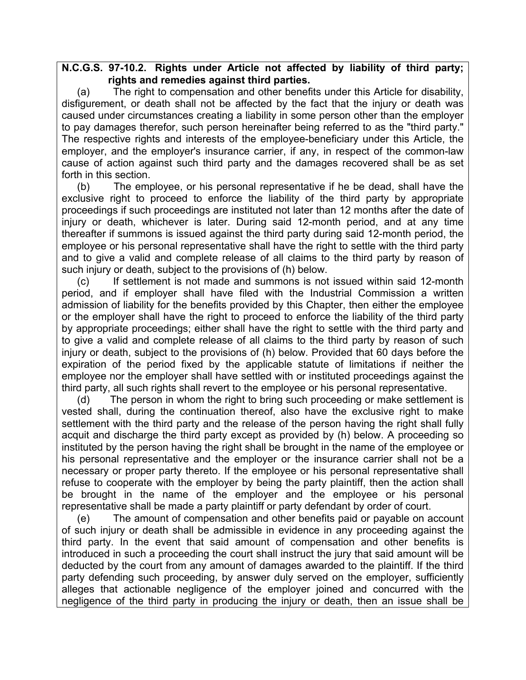### **N.C.G.S. 97-10.2. Rights under Article not affected by liability of third party; rights and remedies against third parties.**

(a) The right to compensation and other benefits under this Article for disability, disfigurement, or death shall not be affected by the fact that the injury or death was caused under circumstances creating a liability in some person other than the employer to pay damages therefor, such person hereinafter being referred to as the "third party." The respective rights and interests of the employee-beneficiary under this Article, the employer, and the employer's insurance carrier, if any, in respect of the common-law cause of action against such third party and the damages recovered shall be as set forth in this section.

(b) The employee, or his personal representative if he be dead, shall have the exclusive right to proceed to enforce the liability of the third party by appropriate proceedings if such proceedings are instituted not later than 12 months after the date of injury or death, whichever is later. During said 12-month period, and at any time thereafter if summons is issued against the third party during said 12-month period, the employee or his personal representative shall have the right to settle with the third party and to give a valid and complete release of all claims to the third party by reason of such injury or death, subject to the provisions of (h) below.

(c) If settlement is not made and summons is not issued within said 12-month period, and if employer shall have filed with the Industrial Commission a written admission of liability for the benefits provided by this Chapter, then either the employee or the employer shall have the right to proceed to enforce the liability of the third party by appropriate proceedings; either shall have the right to settle with the third party and to give a valid and complete release of all claims to the third party by reason of such injury or death, subject to the provisions of (h) below. Provided that 60 days before the expiration of the period fixed by the applicable statute of limitations if neither the employee nor the employer shall have settled with or instituted proceedings against the third party, all such rights shall revert to the employee or his personal representative.

(d) The person in whom the right to bring such proceeding or make settlement is vested shall, during the continuation thereof, also have the exclusive right to make settlement with the third party and the release of the person having the right shall fully acquit and discharge the third party except as provided by (h) below. A proceeding so instituted by the person having the right shall be brought in the name of the employee or his personal representative and the employer or the insurance carrier shall not be a necessary or proper party thereto. If the employee or his personal representative shall refuse to cooperate with the employer by being the party plaintiff, then the action shall be brought in the name of the employer and the employee or his personal representative shall be made a party plaintiff or party defendant by order of court.

(e) The amount of compensation and other benefits paid or payable on account of such injury or death shall be admissible in evidence in any proceeding against the third party. In the event that said amount of compensation and other benefits is introduced in such a proceeding the court shall instruct the jury that said amount will be deducted by the court from any amount of damages awarded to the plaintiff. If the third party defending such proceeding, by answer duly served on the employer, sufficiently alleges that actionable negligence of the employer joined and concurred with the negligence of the third party in producing the injury or death, then an issue shall be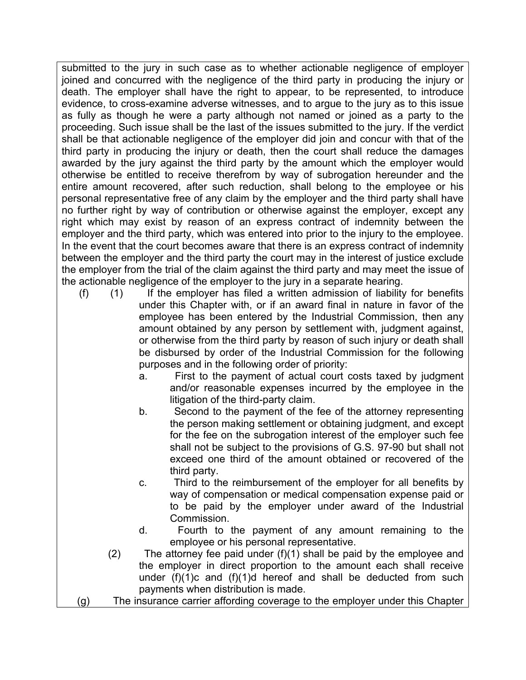submitted to the jury in such case as to whether actionable negligence of employer joined and concurred with the negligence of the third party in producing the injury or death. The employer shall have the right to appear, to be represented, to introduce evidence, to cross-examine adverse witnesses, and to argue to the jury as to this issue as fully as though he were a party although not named or joined as a party to the proceeding. Such issue shall be the last of the issues submitted to the jury. If the verdict shall be that actionable negligence of the employer did join and concur with that of the third party in producing the injury or death, then the court shall reduce the damages awarded by the jury against the third party by the amount which the employer would otherwise be entitled to receive therefrom by way of subrogation hereunder and the entire amount recovered, after such reduction, shall belong to the employee or his personal representative free of any claim by the employer and the third party shall have no further right by way of contribution or otherwise against the employer, except any right which may exist by reason of an express contract of indemnity between the employer and the third party, which was entered into prior to the injury to the employee. In the event that the court becomes aware that there is an express contract of indemnity between the employer and the third party the court may in the interest of justice exclude the employer from the trial of the claim against the third party and may meet the issue of the actionable negligence of the employer to the jury in a separate hearing.

- (f) (1) If the employer has filed a written admission of liability for benefits under this Chapter with, or if an award final in nature in favor of the employee has been entered by the Industrial Commission, then any amount obtained by any person by settlement with, judgment against, or otherwise from the third party by reason of such injury or death shall be disbursed by order of the Industrial Commission for the following purposes and in the following order of priority:
	- a. First to the payment of actual court costs taxed by judgment and/or reasonable expenses incurred by the employee in the litigation of the third-party claim.
	- b. Second to the payment of the fee of the attorney representing the person making settlement or obtaining judgment, and except for the fee on the subrogation interest of the employer such fee shall not be subject to the provisions of G.S. 97-90 but shall not exceed one third of the amount obtained or recovered of the third party.
	- c. Third to the reimbursement of the employer for all benefits by way of compensation or medical compensation expense paid or to be paid by the employer under award of the Industrial Commission.
	- d. Fourth to the payment of any amount remaining to the employee or his personal representative.
	- (2) The attorney fee paid under  $(f)(1)$  shall be paid by the employee and the employer in direct proportion to the amount each shall receive under  $(f)(1)c$  and  $(f)(1)d$  hereof and shall be deducted from such payments when distribution is made.
- (g) The insurance carrier affording coverage to the employer under this Chapter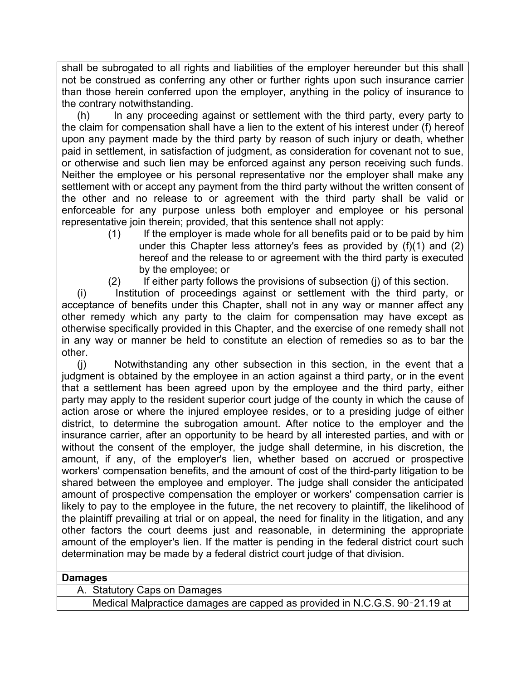shall be subrogated to all rights and liabilities of the employer hereunder but this shall not be construed as conferring any other or further rights upon such insurance carrier than those herein conferred upon the employer, anything in the policy of insurance to the contrary notwithstanding.

(h) In any proceeding against or settlement with the third party, every party to the claim for compensation shall have a lien to the extent of his interest under (f) hereof upon any payment made by the third party by reason of such injury or death, whether paid in settlement, in satisfaction of judgment, as consideration for covenant not to sue, or otherwise and such lien may be enforced against any person receiving such funds. Neither the employee or his personal representative nor the employer shall make any settlement with or accept any payment from the third party without the written consent of the other and no release to or agreement with the third party shall be valid or enforceable for any purpose unless both employer and employee or his personal representative join therein; provided, that this sentence shall not apply:

- (1) If the employer is made whole for all benefits paid or to be paid by him under this Chapter less attorney's fees as provided by (f)(1) and (2) hereof and the release to or agreement with the third party is executed by the employee; or
- (2) If either party follows the provisions of subsection (j) of this section.

(i) Institution of proceedings against or settlement with the third party, or acceptance of benefits under this Chapter, shall not in any way or manner affect any other remedy which any party to the claim for compensation may have except as otherwise specifically provided in this Chapter, and the exercise of one remedy shall not in any way or manner be held to constitute an election of remedies so as to bar the other.

(j) Notwithstanding any other subsection in this section, in the event that a judgment is obtained by the employee in an action against a third party, or in the event that a settlement has been agreed upon by the employee and the third party, either party may apply to the resident superior court judge of the county in which the cause of action arose or where the injured employee resides, or to a presiding judge of either district, to determine the subrogation amount. After notice to the employer and the insurance carrier, after an opportunity to be heard by all interested parties, and with or without the consent of the employer, the judge shall determine, in his discretion, the amount, if any, of the employer's lien, whether based on accrued or prospective workers' compensation benefits, and the amount of cost of the third-party litigation to be shared between the employee and employer. The judge shall consider the anticipated amount of prospective compensation the employer or workers' compensation carrier is likely to pay to the employee in the future, the net recovery to plaintiff, the likelihood of the plaintiff prevailing at trial or on appeal, the need for finality in the litigation, and any other factors the court deems just and reasonable, in determining the appropriate amount of the employer's lien. If the matter is pending in the federal district court such determination may be made by a federal district court judge of that division.

#### **Damages**

A. Statutory Caps on Damages

Medical Malpractice damages are capped as provided in N.C.G.S. 90‑21.19 at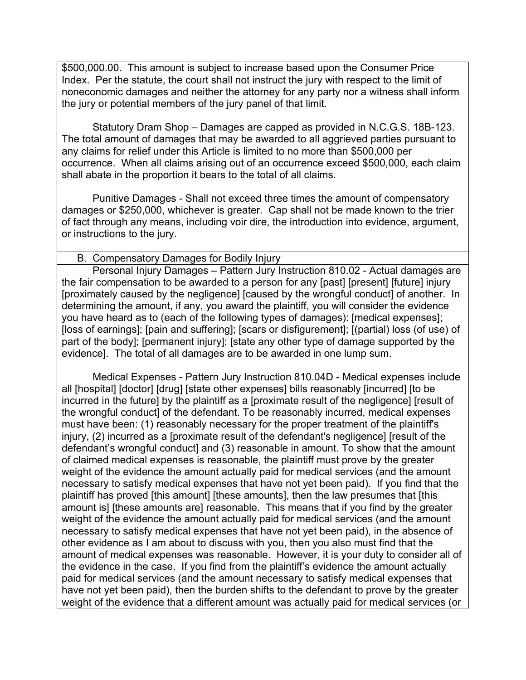\$500,000.00. This amount is subject to increase based upon the Consumer Price Index. Per the statute, the court shall not instruct the jury with respect to the limit of noneconomic damages and neither the attorney for any party nor a witness shall inform the jury or potential members of the jury panel of that limit.

Statutory Dram Shop – Damages are capped as provided in N.C.G.S. 18B-123. The total amount of damages that may be awarded to all aggrieved parties pursuant to any claims for relief under this Article is limited to no more than \$500,000 per occurrence. When all claims arising out of an occurrence exceed \$500,000, each claim shall abate in the proportion it bears to the total of all claims.

Punitive Damages - Shall not exceed three times the amount of compensatory damages or \$250,000, whichever is greater. Cap shall not be made known to the trier of fact through any means, including voir dire, the introduction into evidence, argument, or instructions to the jury.

### B. Compensatory Damages for Bodily Injury

Personal Injury Damages – Pattern Jury Instruction 810.02 - Actual damages are the fair compensation to be awarded to a person for any [past] [present] [future] injury [proximately caused by the negligence] [caused by the wrongful conduct] of another. In determining the amount, if any, you award the plaintiff, you will consider the evidence you have heard as to (each of the following types of damages): [medical expenses]; [loss of earnings]; [pain and suffering]; [scars or disfigurement]; [(partial) loss (of use) of part of the body]; [permanent injury]; [state any other type of damage supported by the evidence]. The total of all damages are to be awarded in one lump sum.

Medical Expenses - Pattern Jury Instruction 810.04D - Medical expenses include all [hospital] [doctor] [drug] [state other expenses] bills reasonably [incurred] [to be incurred in the future] by the plaintiff as a [proximate result of the negligence] [result of the wrongful conduct] of the defendant. To be reasonably incurred, medical expenses must have been: (1) reasonably necessary for the proper treatment of the plaintiff's injury, (2) incurred as a [proximate result of the defendant's negligence] [result of the defendant's wrongful conduct] and (3) reasonable in amount. To show that the amount of claimed medical expenses is reasonable, the plaintiff must prove by the greater weight of the evidence the amount actually paid for medical services (and the amount necessary to satisfy medical expenses that have not yet been paid). If you find that the plaintiff has proved [this amount] [these amounts], then the law presumes that [this amount is] [these amounts are] reasonable. This means that if you find by the greater weight of the evidence the amount actually paid for medical services (and the amount necessary to satisfy medical expenses that have not yet been paid), in the absence of other evidence as I am about to discuss with you, then you also must find that the amount of medical expenses was reasonable. However, it is your duty to consider all of the evidence in the case. If you find from the plaintiff's evidence the amount actually paid for medical services (and the amount necessary to satisfy medical expenses that have not yet been paid), then the burden shifts to the defendant to prove by the greater weight of the evidence that a different amount was actually paid for medical services (or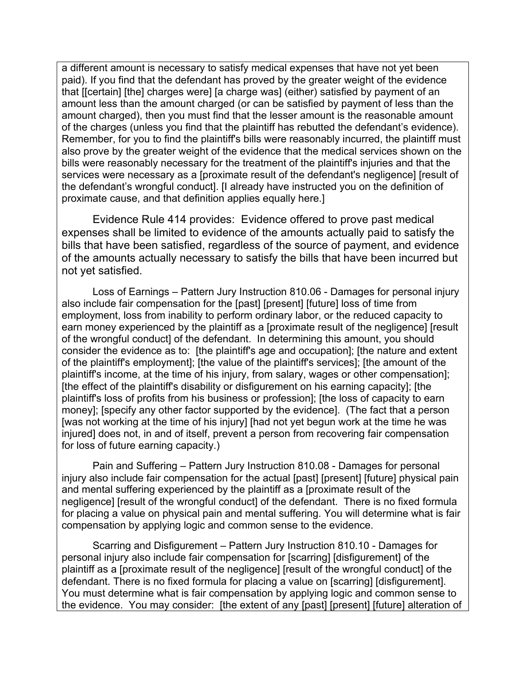a different amount is necessary to satisfy medical expenses that have not yet been paid). If you find that the defendant has proved by the greater weight of the evidence that [[certain] [the] charges were] [a charge was] (either) satisfied by payment of an amount less than the amount charged (or can be satisfied by payment of less than the amount charged), then you must find that the lesser amount is the reasonable amount of the charges (unless you find that the plaintiff has rebutted the defendant's evidence). Remember, for you to find the plaintiff's bills were reasonably incurred, the plaintiff must also prove by the greater weight of the evidence that the medical services shown on the bills were reasonably necessary for the treatment of the plaintiff's injuries and that the services were necessary as a [proximate result of the defendant's negligence] [result of the defendant's wrongful conduct]. [I already have instructed you on the definition of proximate cause, and that definition applies equally here.]

Evidence Rule 414 provides: Evidence offered to prove past medical expenses shall be limited to evidence of the amounts actually paid to satisfy the bills that have been satisfied, regardless of the source of payment, and evidence of the amounts actually necessary to satisfy the bills that have been incurred but not yet satisfied.

Loss of Earnings – Pattern Jury Instruction 810.06 - Damages for personal injury also include fair compensation for the [past] [present] [future] loss of time from employment, loss from inability to perform ordinary labor, or the reduced capacity to earn money experienced by the plaintiff as a [proximate result of the negligence] [result of the wrongful conduct] of the defendant. In determining this amount, you should consider the evidence as to: [the plaintiff's age and occupation]; [the nature and extent of the plaintiff's employment]; [the value of the plaintiff's services]; [the amount of the plaintiff's income, at the time of his injury, from salary, wages or other compensation]; [the effect of the plaintiff's disability or disfigurement on his earning capacity]; [the plaintiff's loss of profits from his business or profession]; [the loss of capacity to earn money]; [specify any other factor supported by the evidence]. (The fact that a person [was not working at the time of his injury] [had not yet begun work at the time he was injured] does not, in and of itself, prevent a person from recovering fair compensation for loss of future earning capacity.)

Pain and Suffering – Pattern Jury Instruction 810.08 - Damages for personal injury also include fair compensation for the actual [past] [present] [future] physical pain and mental suffering experienced by the plaintiff as a [proximate result of the negligence] [result of the wrongful conduct] of the defendant. There is no fixed formula for placing a value on physical pain and mental suffering. You will determine what is fair compensation by applying logic and common sense to the evidence.

Scarring and Disfigurement – Pattern Jury Instruction 810.10 - Damages for personal injury also include fair compensation for [scarring] [disfigurement] of the plaintiff as a [proximate result of the negligence] [result of the wrongful conduct] of the defendant. There is no fixed formula for placing a value on [scarring] [disfigurement]. You must determine what is fair compensation by applying logic and common sense to the evidence. You may consider: [the extent of any [past] [present] [future] alteration of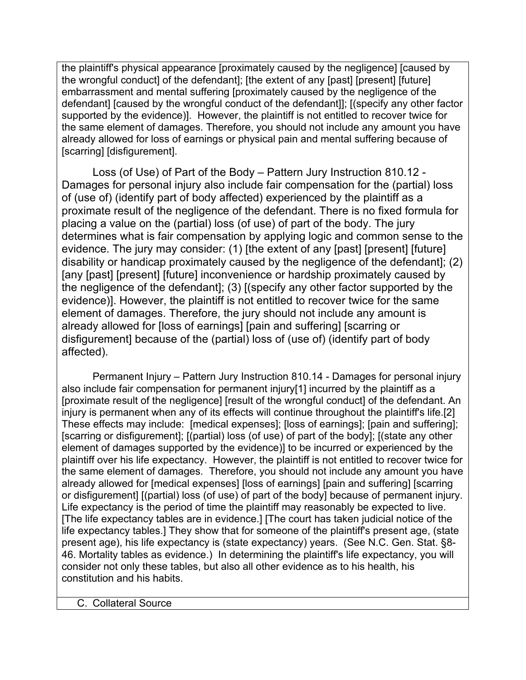the plaintiff's physical appearance [proximately caused by the negligence] [caused by the wrongful conduct] of the defendant]; [the extent of any [past] [present] [future] embarrassment and mental suffering [proximately caused by the negligence of the defendant] [caused by the wrongful conduct of the defendant]]; [(specify any other factor supported by the evidence)]. However, the plaintiff is not entitled to recover twice for the same element of damages. Therefore, you should not include any amount you have already allowed for loss of earnings or physical pain and mental suffering because of [scarring] [disfigurement].

Loss (of Use) of Part of the Body – Pattern Jury Instruction 810.12 - Damages for personal injury also include fair compensation for the (partial) loss of (use of) (identify part of body affected) experienced by the plaintiff as a proximate result of the negligence of the defendant. There is no fixed formula for placing a value on the (partial) loss (of use) of part of the body. The jury determines what is fair compensation by applying logic and common sense to the evidence. The jury may consider: (1) [the extent of any [past] [present] [future] disability or handicap proximately caused by the negligence of the defendant]; (2) [any [past] [present] [future] inconvenience or hardship proximately caused by the negligence of the defendant]; (3) [(specify any other factor supported by the evidence)]. However, the plaintiff is not entitled to recover twice for the same element of damages. Therefore, the jury should not include any amount is already allowed for [loss of earnings] [pain and suffering] [scarring or disfigurement] because of the (partial) loss of (use of) (identify part of body affected).

Permanent Injury – Pattern Jury Instruction 810.14 - Damages for personal injury also include fair compensation for permanent injury[1] incurred by the plaintiff as a [proximate result of the negligence] [result of the wrongful conduct] of the defendant. An injury is permanent when any of its effects will continue throughout the plaintiff's life.[2] These effects may include: [medical expenses]; [loss of earnings]; [pain and suffering]; [scarring or disfigurement]; [(partial) loss (of use) of part of the body]; [(state any other element of damages supported by the evidence)] to be incurred or experienced by the plaintiff over his life expectancy. However, the plaintiff is not entitled to recover twice for the same element of damages. Therefore, you should not include any amount you have already allowed for [medical expenses] [loss of earnings] [pain and suffering] [scarring or disfigurement] [(partial) loss (of use) of part of the body] because of permanent injury. Life expectancy is the period of time the plaintiff may reasonably be expected to live. [The life expectancy tables are in evidence.] [The court has taken judicial notice of the life expectancy tables.] They show that for someone of the plaintiff's present age, (state present age), his life expectancy is (state expectancy) years. (See N.C. Gen. Stat. §8- 46. Mortality tables as evidence.) In determining the plaintiff's life expectancy, you will consider not only these tables, but also all other evidence as to his health, his constitution and his habits.

C. Collateral Source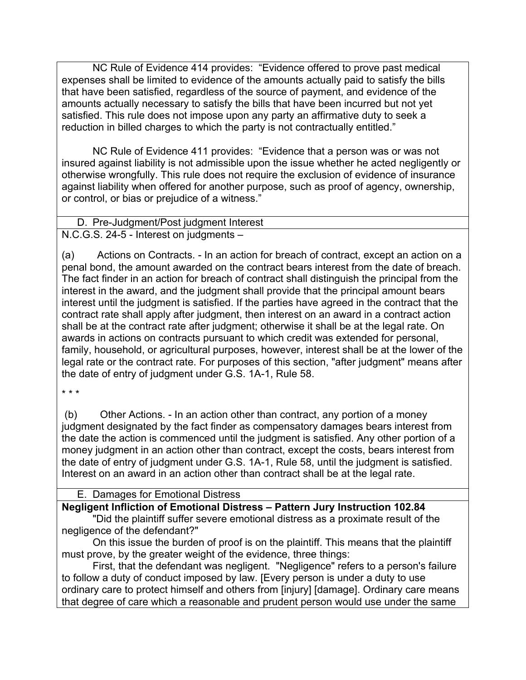NC Rule of Evidence 414 provides: "Evidence offered to prove past medical expenses shall be limited to evidence of the amounts actually paid to satisfy the bills that have been satisfied, regardless of the source of payment, and evidence of the amounts actually necessary to satisfy the bills that have been incurred but not yet satisfied. This rule does not impose upon any party an affirmative duty to seek a reduction in billed charges to which the party is not contractually entitled."

NC Rule of Evidence 411 provides: "Evidence that a person was or was not insured against liability is not admissible upon the issue whether he acted negligently or otherwise wrongfully. This rule does not require the exclusion of evidence of insurance against liability when offered for another purpose, such as proof of agency, ownership, or control, or bias or prejudice of a witness."

#### D. Pre-Judgment/Post judgment Interest N.C.G.S. 24-5 - Interest on judgments –

(a) Actions on Contracts. - In an action for breach of contract, except an action on a penal bond, the amount awarded on the contract bears interest from the date of breach. The fact finder in an action for breach of contract shall distinguish the principal from the interest in the award, and the judgment shall provide that the principal amount bears interest until the judgment is satisfied. If the parties have agreed in the contract that the contract rate shall apply after judgment, then interest on an award in a contract action shall be at the contract rate after judgment; otherwise it shall be at the legal rate. On awards in actions on contracts pursuant to which credit was extended for personal, family, household, or agricultural purposes, however, interest shall be at the lower of the legal rate or the contract rate. For purposes of this section, "after judgment" means after the date of entry of judgment under G.S. 1A-1, Rule 58.

\* \* \*

(b) Other Actions. - In an action other than contract, any portion of a money judgment designated by the fact finder as compensatory damages bears interest from the date the action is commenced until the judgment is satisfied. Any other portion of a money judgment in an action other than contract, except the costs, bears interest from the date of entry of judgment under G.S. 1A-1, Rule 58, until the judgment is satisfied. Interest on an award in an action other than contract shall be at the legal rate.

# E. Damages for Emotional Distress

**Negligent Infliction of Emotional Distress – Pattern Jury Instruction 102.84**

"Did the plaintiff suffer severe emotional distress as a proximate result of the negligence of the defendant?"

On this issue the burden of proof is on the plaintiff. This means that the plaintiff must prove, by the greater weight of the evidence, three things:

First, that the defendant was negligent. "Negligence" refers to a person's failure to follow a duty of conduct imposed by law. [Every person is under a duty to use ordinary care to protect himself and others from [injury] [damage]. Ordinary care means that degree of care which a reasonable and prudent person would use under the same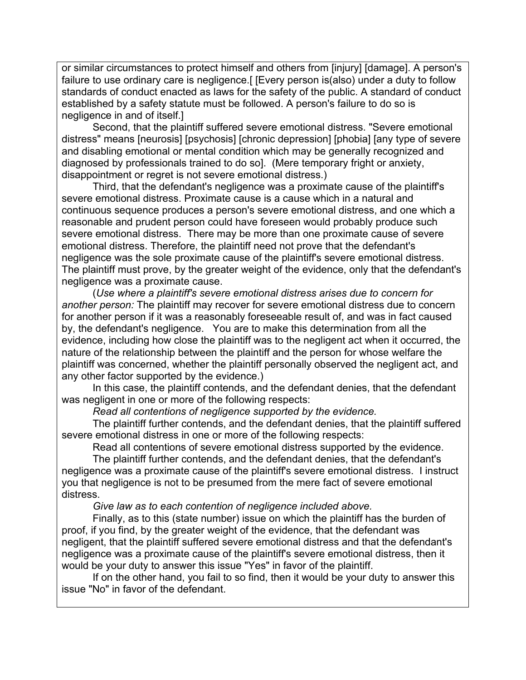or similar circumstances to protect himself and others from [injury] [damage]. A person's failure to use ordinary care is negligence. [ [Every person is(also) under a duty to follow standards of conduct enacted as laws for the safety of the public. A standard of conduct established by a safety statute must be followed. A person's failure to do so is negligence in and of itself.]

Second, that the plaintiff suffered severe emotional distress. "Severe emotional distress" means [neurosis] [psychosis] [chronic depression] [phobia] [any type of severe and disabling emotional or mental condition which may be generally recognized and diagnosed by professionals trained to do so]. (Mere temporary fright or anxiety, disappointment or regret is not severe emotional distress.)

Third, that the defendant's negligence was a proximate cause of the plaintiff's severe emotional distress. Proximate cause is a cause which in a natural and continuous sequence produces a person's severe emotional distress, and one which a reasonable and prudent person could have foreseen would probably produce such severe emotional distress. There may be more than one proximate cause of severe emotional distress. Therefore, the plaintiff need not prove that the defendant's negligence was the sole proximate cause of the plaintiff's severe emotional distress. The plaintiff must prove, by the greater weight of the evidence, only that the defendant's negligence was a proximate cause.

(*Use where a plaintiff's severe emotional distress arises due to concern for another person:* The plaintiff may recover for severe emotional distress due to concern for another person if it was a reasonably foreseeable result of, and was in fact caused by, the defendant's negligence. You are to make this determination from all the evidence, including how close the plaintiff was to the negligent act when it occurred, the nature of the relationship between the plaintiff and the person for whose welfare the plaintiff was concerned, whether the plaintiff personally observed the negligent act, and any other factor supported by the evidence.)

In this case, the plaintiff contends, and the defendant denies, that the defendant was negligent in one or more of the following respects:

*Read all contentions of negligence supported by the evidence.*

The plaintiff further contends, and the defendant denies, that the plaintiff suffered severe emotional distress in one or more of the following respects:

Read all contentions of severe emotional distress supported by the evidence.

The plaintiff further contends, and the defendant denies, that the defendant's negligence was a proximate cause of the plaintiff's severe emotional distress. I instruct you that negligence is not to be presumed from the mere fact of severe emotional distress.

*Give law as to each contention of negligence included above.*

Finally, as to this (state number) issue on which the plaintiff has the burden of proof, if you find, by the greater weight of the evidence, that the defendant was negligent, that the plaintiff suffered severe emotional distress and that the defendant's negligence was a proximate cause of the plaintiff's severe emotional distress, then it would be your duty to answer this issue "Yes" in favor of the plaintiff.

If on the other hand, you fail to so find, then it would be your duty to answer this issue "No" in favor of the defendant.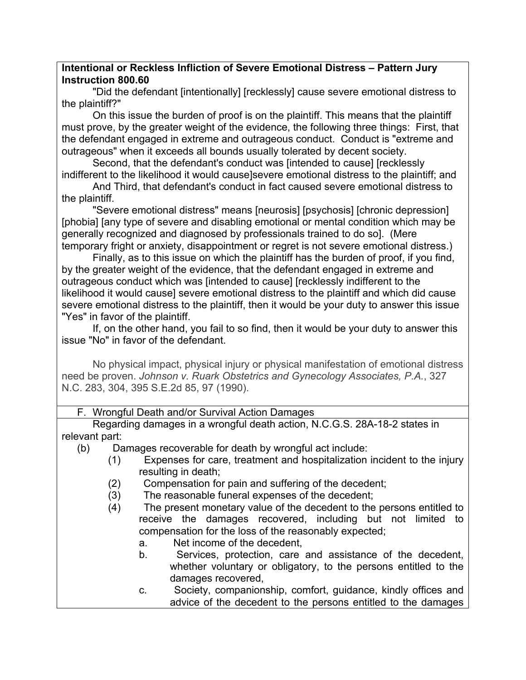#### **Intentional or Reckless Infliction of Severe Emotional Distress – Pattern Jury Instruction 800.60**

"Did the defendant [intentionally] [recklessly] cause severe emotional distress to the plaintiff?"

On this issue the burden of proof is on the plaintiff. This means that the plaintiff must prove, by the greater weight of the evidence, the following three things: First, that the defendant engaged in extreme and outrageous conduct. Conduct is "extreme and outrageous" when it exceeds all bounds usually tolerated by decent society.

Second, that the defendant's conduct was [intended to cause] [recklessly indifferent to the likelihood it would cause]severe emotional distress to the plaintiff; and

And Third, that defendant's conduct in fact caused severe emotional distress to the plaintiff.

"Severe emotional distress" means [neurosis] [psychosis] [chronic depression] [phobia] [any type of severe and disabling emotional or mental condition which may be generally recognized and diagnosed by professionals trained to do so]. (Mere temporary fright or anxiety, disappointment or regret is not severe emotional distress.)

Finally, as to this issue on which the plaintiff has the burden of proof, if you find, by the greater weight of the evidence, that the defendant engaged in extreme and outrageous conduct which was [intended to cause] [recklessly indifferent to the likelihood it would cause] severe emotional distress to the plaintiff and which did cause severe emotional distress to the plaintiff, then it would be your duty to answer this issue "Yes" in favor of the plaintiff.

If, on the other hand, you fail to so find, then it would be your duty to answer this issue "No" in favor of the defendant.

No physical impact, physical injury or physical manifestation of emotional distress need be proven. *Johnson v. Ruark Obstetrics and Gynecology Associates, P.A.*, 327 N.C. 283, 304, 395 S.E.2d 85, 97 (1990).

### F. Wrongful Death and/or Survival Action Damages

Regarding damages in a wrongful death action, N.C.G.S. 28A-18-2 states in relevant part:

- (b) Damages recoverable for death by wrongful act include:
	- (1) Expenses for care, treatment and hospitalization incident to the injury resulting in death;
	- (2) Compensation for pain and suffering of the decedent;
	- (3) The reasonable funeral expenses of the decedent;
	- (4) The present monetary value of the decedent to the persons entitled to receive the damages recovered, including but not limited to compensation for the loss of the reasonably expected;
		- a. Net income of the decedent,
		- b. Services, protection, care and assistance of the decedent, whether voluntary or obligatory, to the persons entitled to the damages recovered,
		- c. Society, companionship, comfort, guidance, kindly offices and advice of the decedent to the persons entitled to the damages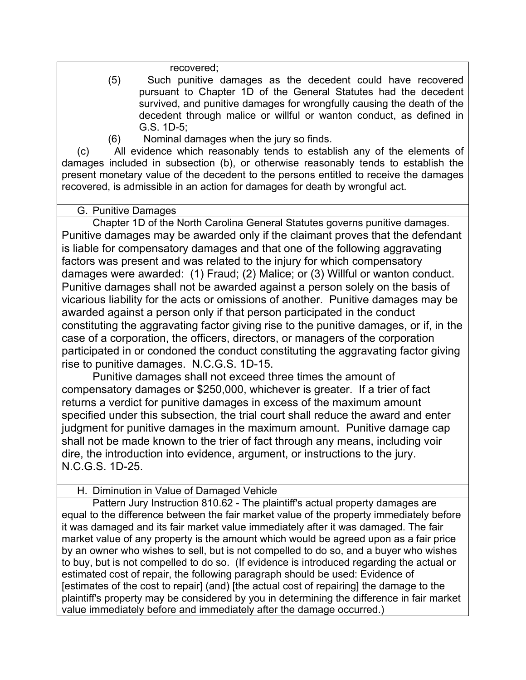recovered;

- (5) Such punitive damages as the decedent could have recovered pursuant to Chapter 1D of the General Statutes had the decedent survived, and punitive damages for wrongfully causing the death of the decedent through malice or willful or wanton conduct, as defined in G.S. 1D-5;
- (6) Nominal damages when the jury so finds.

(c) All evidence which reasonably tends to establish any of the elements of damages included in subsection (b), or otherwise reasonably tends to establish the present monetary value of the decedent to the persons entitled to receive the damages recovered, is admissible in an action for damages for death by wrongful act.

### G. Punitive Damages

Chapter 1D of the North Carolina General Statutes governs punitive damages. Punitive damages may be awarded only if the claimant proves that the defendant is liable for compensatory damages and that one of the following aggravating factors was present and was related to the injury for which compensatory damages were awarded: (1) Fraud; (2) Malice; or (3) Willful or wanton conduct. Punitive damages shall not be awarded against a person solely on the basis of vicarious liability for the acts or omissions of another. Punitive damages may be awarded against a person only if that person participated in the conduct constituting the aggravating factor giving rise to the punitive damages, or if, in the case of a corporation, the officers, directors, or managers of the corporation participated in or condoned the conduct constituting the aggravating factor giving rise to punitive damages. N.C.G.S. 1D-15.

Punitive damages shall not exceed three times the amount of compensatory damages or \$250,000, whichever is greater. If a trier of fact returns a verdict for punitive damages in excess of the maximum amount specified under this subsection, the trial court shall reduce the award and enter judgment for punitive damages in the maximum amount. Punitive damage cap shall not be made known to the trier of fact through any means, including voir dire, the introduction into evidence, argument, or instructions to the jury. N.C.G.S. 1D-25.

#### H. Diminution in Value of Damaged Vehicle

Pattern Jury Instruction 810.62 - The plaintiff's actual property damages are equal to the difference between the fair market value of the property immediately before it was damaged and its fair market value immediately after it was damaged. The fair market value of any property is the amount which would be agreed upon as a fair price by an owner who wishes to sell, but is not compelled to do so, and a buyer who wishes to buy, but is not compelled to do so. (If evidence is introduced regarding the actual or estimated cost of repair, the following paragraph should be used: Evidence of [estimates of the cost to repair] (and) [the actual cost of repairing] the damage to the plaintiff's property may be considered by you in determining the difference in fair market value immediately before and immediately after the damage occurred.)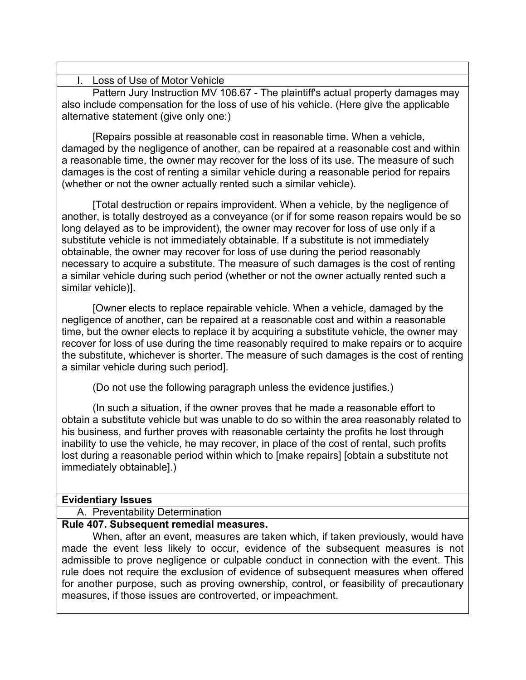### I. Loss of Use of Motor Vehicle

Pattern Jury Instruction MV 106.67 - The plaintiff's actual property damages may also include compensation for the loss of use of his vehicle. (Here give the applicable alternative statement (give only one:)

[Repairs possible at reasonable cost in reasonable time. When a vehicle, damaged by the negligence of another, can be repaired at a reasonable cost and within a reasonable time, the owner may recover for the loss of its use. The measure of such damages is the cost of renting a similar vehicle during a reasonable period for repairs (whether or not the owner actually rented such a similar vehicle).

[Total destruction or repairs improvident. When a vehicle, by the negligence of another, is totally destroyed as a conveyance (or if for some reason repairs would be so long delayed as to be improvident), the owner may recover for loss of use only if a substitute vehicle is not immediately obtainable. If a substitute is not immediately obtainable, the owner may recover for loss of use during the period reasonably necessary to acquire a substitute. The measure of such damages is the cost of renting a similar vehicle during such period (whether or not the owner actually rented such a similar vehicle)].

[Owner elects to replace repairable vehicle. When a vehicle, damaged by the negligence of another, can be repaired at a reasonable cost and within a reasonable time, but the owner elects to replace it by acquiring a substitute vehicle, the owner may recover for loss of use during the time reasonably required to make repairs or to acquire the substitute, whichever is shorter. The measure of such damages is the cost of renting a similar vehicle during such period].

(Do not use the following paragraph unless the evidence justifies.)

(In such a situation, if the owner proves that he made a reasonable effort to obtain a substitute vehicle but was unable to do so within the area reasonably related to his business, and further proves with reasonable certainty the profits he lost through inability to use the vehicle, he may recover, in place of the cost of rental, such profits lost during a reasonable period within which to [make repairs] [obtain a substitute not immediately obtainable].)

#### **Evidentiary Issues**

A. Preventability Determination

#### **Rule 407. Subsequent remedial measures.**

When, after an event, measures are taken which, if taken previously, would have made the event less likely to occur, evidence of the subsequent measures is not admissible to prove negligence or culpable conduct in connection with the event. This rule does not require the exclusion of evidence of subsequent measures when offered for another purpose, such as proving ownership, control, or feasibility of precautionary measures, if those issues are controverted, or impeachment.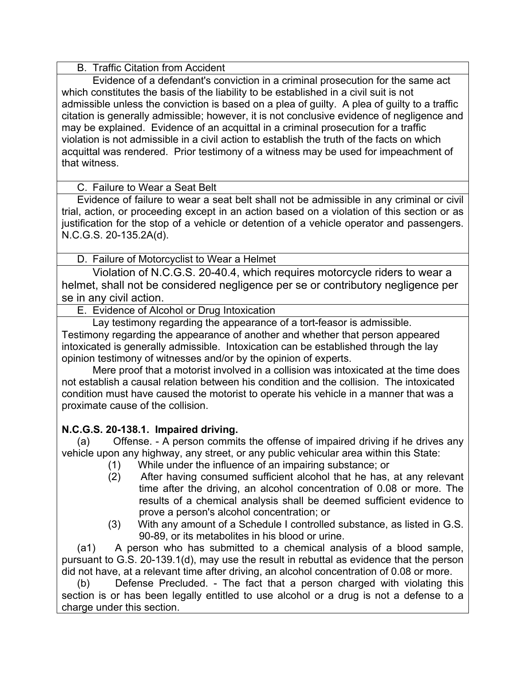## B. Traffic Citation from Accident

Evidence of a defendant's conviction in a criminal prosecution for the same act which constitutes the basis of the liability to be established in a civil suit is not admissible unless the conviction is based on a plea of guilty. A plea of guilty to a traffic citation is generally admissible; however, it is not conclusive evidence of negligence and may be explained. Evidence of an acquittal in a criminal prosecution for a traffic violation is not admissible in a civil action to establish the truth of the facts on which acquittal was rendered. Prior testimony of a witness may be used for impeachment of that witness.

C. Failure to Wear a Seat Belt

Evidence of failure to wear a seat belt shall not be admissible in any criminal or civil trial, action, or proceeding except in an action based on a violation of this section or as justification for the stop of a vehicle or detention of a vehicle operator and passengers. N.C.G.S. 20-135.2A(d).

D. Failure of Motorcyclist to Wear a Helmet

Violation of N.C.G.S. 20-40.4, which requires motorcycle riders to wear a helmet, shall not be considered negligence per se or contributory negligence per se in any civil action.

E. Evidence of Alcohol or Drug Intoxication

Lay testimony regarding the appearance of a tort-feasor is admissible. Testimony regarding the appearance of another and whether that person appeared intoxicated is generally admissible. Intoxication can be established through the lay opinion testimony of witnesses and/or by the opinion of experts.

Mere proof that a motorist involved in a collision was intoxicated at the time does not establish a causal relation between his condition and the collision. The intoxicated condition must have caused the motorist to operate his vehicle in a manner that was a proximate cause of the collision.

# **N.C.G.S. 20-138.1. Impaired driving.**

(a) Offense. - A person commits the offense of impaired driving if he drives any vehicle upon any highway, any street, or any public vehicular area within this State:

- (1) While under the influence of an impairing substance; or
- (2) After having consumed sufficient alcohol that he has, at any relevant time after the driving, an alcohol concentration of 0.08 or more. The results of a chemical analysis shall be deemed sufficient evidence to prove a person's alcohol concentration; or
- (3) With any amount of a Schedule I controlled substance, as listed in G.S. 90-89, or its metabolites in his blood or urine.

(a1) A person who has submitted to a chemical analysis of a blood sample, pursuant to G.S. 20-139.1(d), may use the result in rebuttal as evidence that the person did not have, at a relevant time after driving, an alcohol concentration of 0.08 or more.

(b) Defense Precluded. - The fact that a person charged with violating this section is or has been legally entitled to use alcohol or a drug is not a defense to a charge under this section.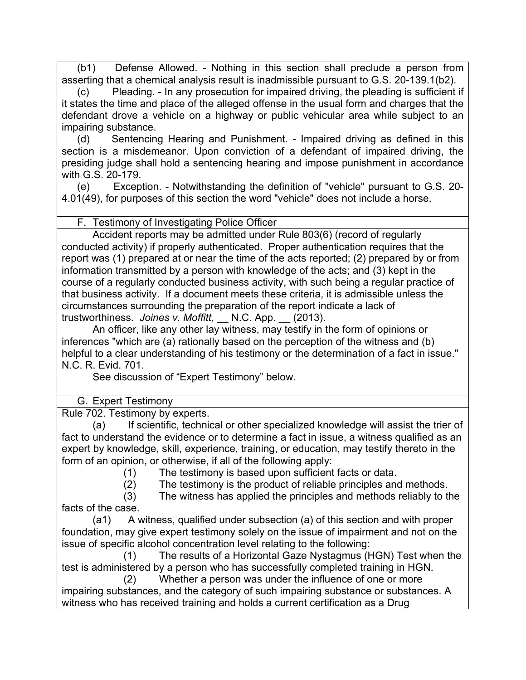(b1) Defense Allowed. - Nothing in this section shall preclude a person from asserting that a chemical analysis result is inadmissible pursuant to G.S. 20-139.1(b2).

(c) Pleading. - In any prosecution for impaired driving, the pleading is sufficient if it states the time and place of the alleged offense in the usual form and charges that the defendant drove a vehicle on a highway or public vehicular area while subject to an impairing substance.

(d) Sentencing Hearing and Punishment. - Impaired driving as defined in this section is a misdemeanor. Upon conviction of a defendant of impaired driving, the presiding judge shall hold a sentencing hearing and impose punishment in accordance with G.S. 20-179.

(e) Exception. - Notwithstanding the definition of "vehicle" pursuant to G.S. 20- 4.01(49), for purposes of this section the word "vehicle" does not include a horse.

### F. Testimony of Investigating Police Officer

Accident reports may be admitted under Rule 803(6) (record of regularly conducted activity) if properly authenticated. Proper authentication requires that the report was (1) prepared at or near the time of the acts reported; (2) prepared by or from information transmitted by a person with knowledge of the acts; and (3) kept in the course of a regularly conducted business activity, with such being a regular practice of that business activity. If a document meets these criteria, it is admissible unless the circumstances surrounding the preparation of the report indicate a lack of trustworthiness. *Joines v. Moffitt*, \_\_ N.C. App. \_\_ (2013).

An officer, like any other lay witness, may testify in the form of opinions or inferences "which are (a) rationally based on the perception of the witness and (b) helpful to a clear understanding of his testimony or the determination of a fact in issue." N.C. R. Evid. 701.

See discussion of "Expert Testimony" below.

### G. Expert Testimony

Rule 702. Testimony by experts.

(a) If scientific, technical or other specialized knowledge will assist the trier of fact to understand the evidence or to determine a fact in issue, a witness qualified as an expert by knowledge, skill, experience, training, or education, may testify thereto in the form of an opinion, or otherwise, if all of the following apply:

(1) The testimony is based upon sufficient facts or data.

(2) The testimony is the product of reliable principles and methods.

(3) The witness has applied the principles and methods reliably to the facts of the case.

(a1) A witness, qualified under subsection (a) of this section and with proper foundation, may give expert testimony solely on the issue of impairment and not on the issue of specific alcohol concentration level relating to the following:

(1) The results of a Horizontal Gaze Nystagmus (HGN) Test when the test is administered by a person who has successfully completed training in HGN.

(2) Whether a person was under the influence of one or more impairing substances, and the category of such impairing substance or substances. A witness who has received training and holds a current certification as a Drug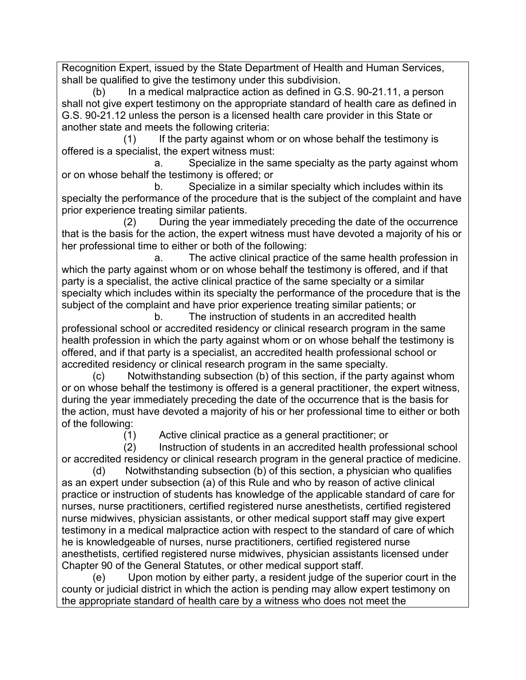Recognition Expert, issued by the State Department of Health and Human Services, shall be qualified to give the testimony under this subdivision.

(b) In a medical malpractice action as defined in G.S. 90-21.11, a person shall not give expert testimony on the appropriate standard of health care as defined in G.S. 90-21.12 unless the person is a licensed health care provider in this State or another state and meets the following criteria:

(1) If the party against whom or on whose behalf the testimony is offered is a specialist, the expert witness must:

a. Specialize in the same specialty as the party against whom or on whose behalf the testimony is offered; or

b. Specialize in a similar specialty which includes within its specialty the performance of the procedure that is the subject of the complaint and have prior experience treating similar patients.

(2) During the year immediately preceding the date of the occurrence that is the basis for the action, the expert witness must have devoted a majority of his or her professional time to either or both of the following:

a. The active clinical practice of the same health profession in which the party against whom or on whose behalf the testimony is offered, and if that party is a specialist, the active clinical practice of the same specialty or a similar specialty which includes within its specialty the performance of the procedure that is the subject of the complaint and have prior experience treating similar patients; or

b. The instruction of students in an accredited health professional school or accredited residency or clinical research program in the same health profession in which the party against whom or on whose behalf the testimony is offered, and if that party is a specialist, an accredited health professional school or accredited residency or clinical research program in the same specialty.

(c) Notwithstanding subsection (b) of this section, if the party against whom or on whose behalf the testimony is offered is a general practitioner, the expert witness, during the year immediately preceding the date of the occurrence that is the basis for the action, must have devoted a majority of his or her professional time to either or both of the following:

(1) Active clinical practice as a general practitioner; or

(2) Instruction of students in an accredited health professional school or accredited residency or clinical research program in the general practice of medicine.

(d) Notwithstanding subsection (b) of this section, a physician who qualifies as an expert under subsection (a) of this Rule and who by reason of active clinical practice or instruction of students has knowledge of the applicable standard of care for nurses, nurse practitioners, certified registered nurse anesthetists, certified registered nurse midwives, physician assistants, or other medical support staff may give expert testimony in a medical malpractice action with respect to the standard of care of which he is knowledgeable of nurses, nurse practitioners, certified registered nurse anesthetists, certified registered nurse midwives, physician assistants licensed under Chapter 90 of the General Statutes, or other medical support staff.

(e) Upon motion by either party, a resident judge of the superior court in the county or judicial district in which the action is pending may allow expert testimony on the appropriate standard of health care by a witness who does not meet the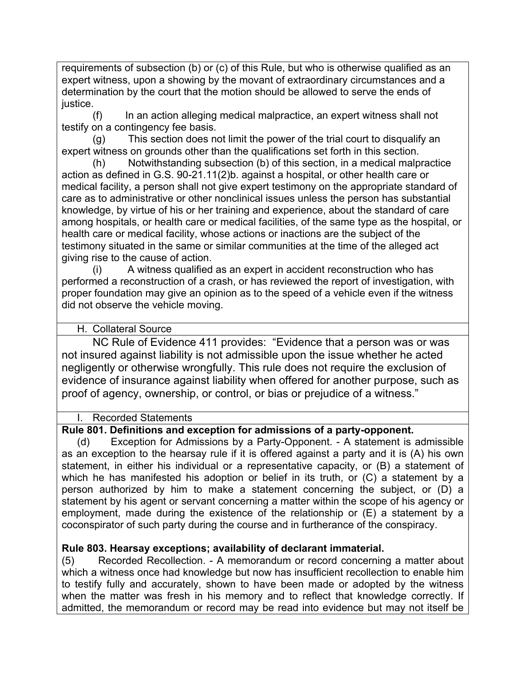requirements of subsection (b) or (c) of this Rule, but who is otherwise qualified as an expert witness, upon a showing by the movant of extraordinary circumstances and a determination by the court that the motion should be allowed to serve the ends of justice.

(f) In an action alleging medical malpractice, an expert witness shall not testify on a contingency fee basis.

(g) This section does not limit the power of the trial court to disqualify an expert witness on grounds other than the qualifications set forth in this section.

(h) Notwithstanding subsection (b) of this section, in a medical malpractice action as defined in G.S. 90-21.11(2)b. against a hospital, or other health care or medical facility, a person shall not give expert testimony on the appropriate standard of care as to administrative or other nonclinical issues unless the person has substantial knowledge, by virtue of his or her training and experience, about the standard of care among hospitals, or health care or medical facilities, of the same type as the hospital, or health care or medical facility, whose actions or inactions are the subject of the testimony situated in the same or similar communities at the time of the alleged act giving rise to the cause of action.

(i) A witness qualified as an expert in accident reconstruction who has performed a reconstruction of a crash, or has reviewed the report of investigation, with proper foundation may give an opinion as to the speed of a vehicle even if the witness did not observe the vehicle moving.

#### H. Collateral Source

NC Rule of Evidence 411 provides: "Evidence that a person was or was not insured against liability is not admissible upon the issue whether he acted negligently or otherwise wrongfully. This rule does not require the exclusion of evidence of insurance against liability when offered for another purpose, such as proof of agency, ownership, or control, or bias or prejudice of a witness."

#### Recorded Statements

#### **Rule 801. Definitions and exception for admissions of a party-opponent.**

(d) Exception for Admissions by a Party-Opponent. - A statement is admissible as an exception to the hearsay rule if it is offered against a party and it is (A) his own statement, in either his individual or a representative capacity, or (B) a statement of which he has manifested his adoption or belief in its truth, or (C) a statement by a person authorized by him to make a statement concerning the subject, or (D) a statement by his agent or servant concerning a matter within the scope of his agency or employment, made during the existence of the relationship or (E) a statement by a coconspirator of such party during the course and in furtherance of the conspiracy.

#### **Rule 803. Hearsay exceptions; availability of declarant immaterial.**

(5) Recorded Recollection. - A memorandum or record concerning a matter about which a witness once had knowledge but now has insufficient recollection to enable him to testify fully and accurately, shown to have been made or adopted by the witness when the matter was fresh in his memory and to reflect that knowledge correctly. If admitted, the memorandum or record may be read into evidence but may not itself be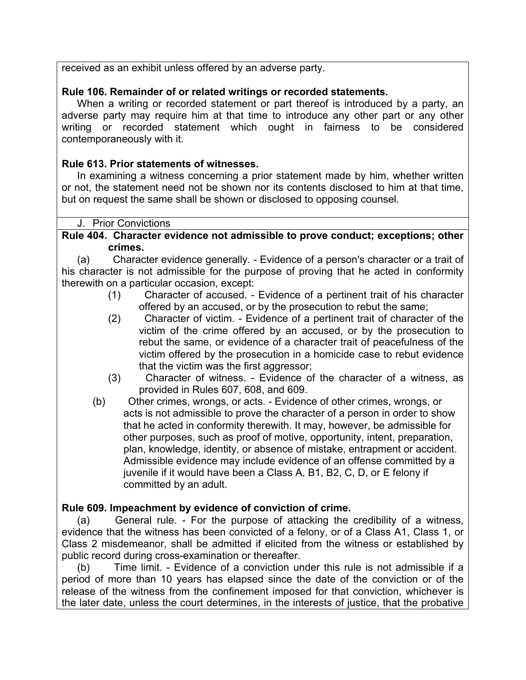received as an exhibit unless offered by an adverse party.

### **Rule 106. Remainder of or related writings or recorded statements.**

When a writing or recorded statement or part thereof is introduced by a party, an adverse party may require him at that time to introduce any other part or any other writing or recorded statement which ought in fairness to be considered contemporaneously with it.

### **Rule 613. Prior statements of witnesses.**

In examining a witness concerning a prior statement made by him, whether written or not, the statement need not be shown nor its contents disclosed to him at that time, but on request the same shall be shown or disclosed to opposing counsel.

#### J. Prior Convictions

**Rule 404. Character evidence not admissible to prove conduct; exceptions; other crimes.**

(a) Character evidence generally. - Evidence of a person's character or a trait of his character is not admissible for the purpose of proving that he acted in conformity therewith on a particular occasion, except:

- (1) Character of accused. Evidence of a pertinent trait of his character offered by an accused, or by the prosecution to rebut the same;
- (2) Character of victim. Evidence of a pertinent trait of character of the victim of the crime offered by an accused, or by the prosecution to rebut the same, or evidence of a character trait of peacefulness of the victim offered by the prosecution in a homicide case to rebut evidence that the victim was the first aggressor;
- (3) Character of witness. Evidence of the character of a witness, as provided in Rules 607, 608, and 609.
- (b) Other crimes, wrongs, or acts. Evidence of other crimes, wrongs, or acts is not admissible to prove the character of a person in order to show that he acted in conformity therewith. It may, however, be admissible for other purposes, such as proof of motive, opportunity, intent, preparation, plan, knowledge, identity, or absence of mistake, entrapment or accident. Admissible evidence may include evidence of an offense committed by a juvenile if it would have been a Class A, B1, B2, C, D, or E felony if committed by an adult.

### **Rule 609. Impeachment by evidence of conviction of crime.**

(a) General rule. - For the purpose of attacking the credibility of a witness, evidence that the witness has been convicted of a felony, or of a Class A1, Class 1, or Class 2 misdemeanor, shall be admitted if elicited from the witness or established by public record during cross-examination or thereafter.

(b) Time limit. - Evidence of a conviction under this rule is not admissible if a period of more than 10 years has elapsed since the date of the conviction or of the release of the witness from the confinement imposed for that conviction, whichever is the later date, unless the court determines, in the interests of justice, that the probative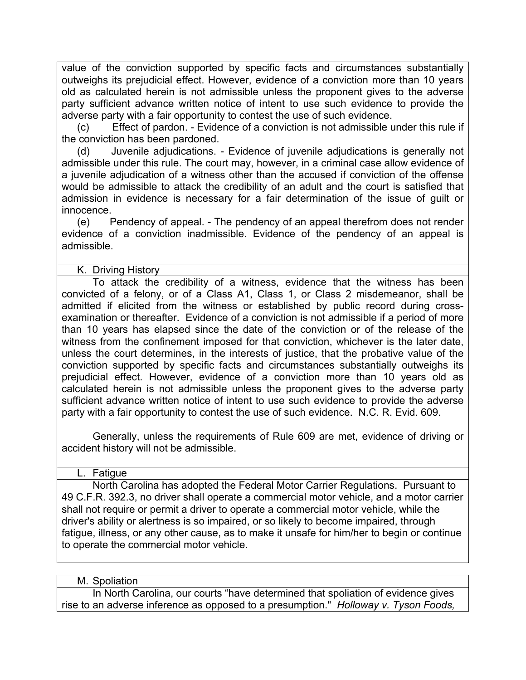value of the conviction supported by specific facts and circumstances substantially outweighs its prejudicial effect. However, evidence of a conviction more than 10 years old as calculated herein is not admissible unless the proponent gives to the adverse party sufficient advance written notice of intent to use such evidence to provide the adverse party with a fair opportunity to contest the use of such evidence.

(c) Effect of pardon. - Evidence of a conviction is not admissible under this rule if the conviction has been pardoned.

(d) Juvenile adjudications. - Evidence of juvenile adjudications is generally not admissible under this rule. The court may, however, in a criminal case allow evidence of a juvenile adjudication of a witness other than the accused if conviction of the offense would be admissible to attack the credibility of an adult and the court is satisfied that admission in evidence is necessary for a fair determination of the issue of guilt or innocence.

(e) Pendency of appeal. - The pendency of an appeal therefrom does not render evidence of a conviction inadmissible. Evidence of the pendency of an appeal is admissible.

K. Driving History

To attack the credibility of a witness, evidence that the witness has been convicted of a felony, or of a Class A1, Class 1, or Class 2 misdemeanor, shall be admitted if elicited from the witness or established by public record during crossexamination or thereafter. Evidence of a conviction is not admissible if a period of more than 10 years has elapsed since the date of the conviction or of the release of the witness from the confinement imposed for that conviction, whichever is the later date, unless the court determines, in the interests of justice, that the probative value of the conviction supported by specific facts and circumstances substantially outweighs its prejudicial effect. However, evidence of a conviction more than 10 years old as calculated herein is not admissible unless the proponent gives to the adverse party sufficient advance written notice of intent to use such evidence to provide the adverse party with a fair opportunity to contest the use of such evidence. N.C. R. Evid. 609.

Generally, unless the requirements of Rule 609 are met, evidence of driving or accident history will not be admissible.

L. Fatigue

North Carolina has adopted the Federal Motor Carrier Regulations. Pursuant to 49 C.F.R. 392.3, no driver shall operate a commercial motor vehicle, and a motor carrier shall not require or permit a driver to operate a commercial motor vehicle, while the driver's ability or alertness is so impaired, or so likely to become impaired, through fatigue, illness, or any other cause, as to make it unsafe for him/her to begin or continue to operate the commercial motor vehicle.

M. Spoliation

In North Carolina, our courts "have determined that spoliation of evidence gives rise to an adverse inference as opposed to a presumption." *Holloway v. Tyson Foods,*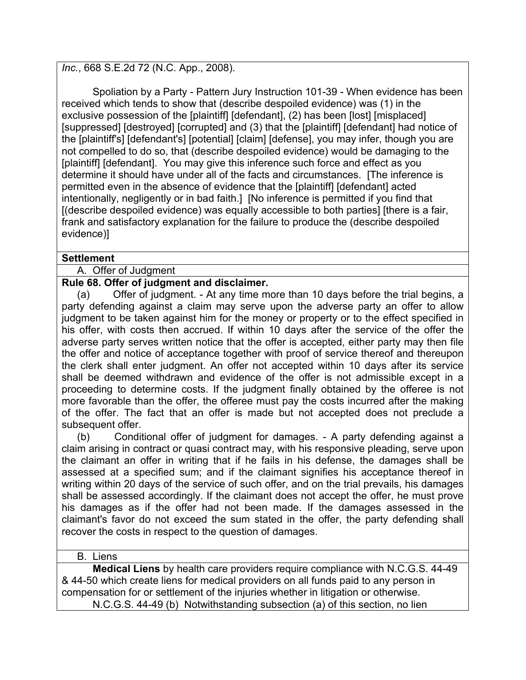*Inc.*, 668 S.E.2d 72 (N.C. App., 2008).

Spoliation by a Party - Pattern Jury Instruction 101-39 - When evidence has been received which tends to show that (describe despoiled evidence) was (1) in the exclusive possession of the [plaintiff] [defendant], (2) has been [lost] [misplaced] [suppressed] [destroyed] [corrupted] and (3) that the [plaintiff] [defendant] had notice of the [plaintiff's] [defendant's] [potential] [claim] [defense], you may infer, though you are not compelled to do so, that (describe despoiled evidence) would be damaging to the [plaintiff] [defendant]. You may give this inference such force and effect as you determine it should have under all of the facts and circumstances. [The inference is permitted even in the absence of evidence that the [plaintiff] [defendant] acted intentionally, negligently or in bad faith.] [No inference is permitted if you find that [(describe despoiled evidence) was equally accessible to both parties] [there is a fair, frank and satisfactory explanation for the failure to produce the (describe despoiled evidence)]

### **Settlement**

## A. Offer of Judgment

### **Rule 68. Offer of judgment and disclaimer.**

(a) Offer of judgment. - At any time more than 10 days before the trial begins, a party defending against a claim may serve upon the adverse party an offer to allow judgment to be taken against him for the money or property or to the effect specified in his offer, with costs then accrued. If within 10 days after the service of the offer the adverse party serves written notice that the offer is accepted, either party may then file the offer and notice of acceptance together with proof of service thereof and thereupon the clerk shall enter judgment. An offer not accepted within 10 days after its service shall be deemed withdrawn and evidence of the offer is not admissible except in a proceeding to determine costs. If the judgment finally obtained by the offeree is not more favorable than the offer, the offeree must pay the costs incurred after the making of the offer. The fact that an offer is made but not accepted does not preclude a subsequent offer.

(b) Conditional offer of judgment for damages. - A party defending against a claim arising in contract or quasi contract may, with his responsive pleading, serve upon the claimant an offer in writing that if he fails in his defense, the damages shall be assessed at a specified sum; and if the claimant signifies his acceptance thereof in writing within 20 days of the service of such offer, and on the trial prevails, his damages shall be assessed accordingly. If the claimant does not accept the offer, he must prove his damages as if the offer had not been made. If the damages assessed in the claimant's favor do not exceed the sum stated in the offer, the party defending shall recover the costs in respect to the question of damages.

#### B. Liens

**Medical Liens** by health care providers require compliance with N.C.G.S. 44-49 & 44-50 which create liens for medical providers on all funds paid to any person in compensation for or settlement of the injuries whether in litigation or otherwise. N.C.G.S. 44-49 (b) Notwithstanding subsection (a) of this section, no lien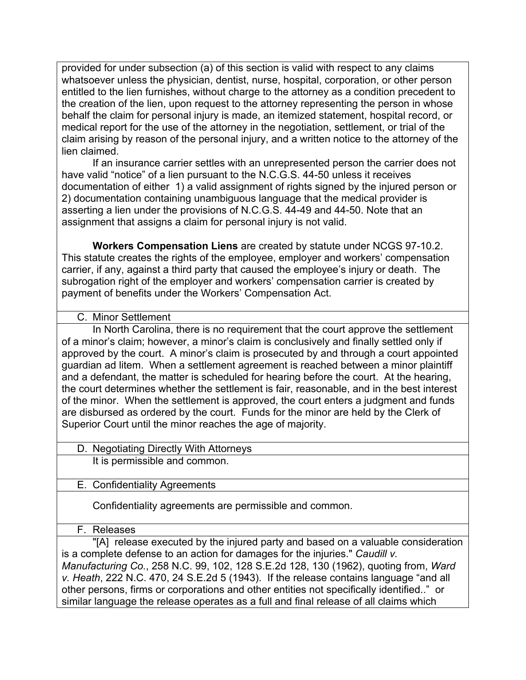provided for under subsection (a) of this section is valid with respect to any claims whatsoever unless the physician, dentist, nurse, hospital, corporation, or other person entitled to the lien furnishes, without charge to the attorney as a condition precedent to the creation of the lien, upon request to the attorney representing the person in whose behalf the claim for personal injury is made, an itemized statement, hospital record, or medical report for the use of the attorney in the negotiation, settlement, or trial of the claim arising by reason of the personal injury, and a written notice to the attorney of the lien claimed.

If an insurance carrier settles with an unrepresented person the carrier does not have valid "notice" of a lien pursuant to the N.C.G.S. 44-50 unless it receives documentation of either 1) a valid assignment of rights signed by the injured person or 2) documentation containing unambiguous language that the medical provider is asserting a lien under the provisions of N.C.G.S. 44-49 and 44-50. Note that an assignment that assigns a claim for personal injury is not valid.

**Workers Compensation Liens** are created by statute under NCGS 97-10.2. This statute creates the rights of the employee, employer and workers' compensation carrier, if any, against a third party that caused the employee's injury or death. The subrogation right of the employer and workers' compensation carrier is created by payment of benefits under the Workers' Compensation Act.

### C. Minor Settlement

In North Carolina, there is no requirement that the court approve the settlement of a minor's claim; however, a minor's claim is conclusively and finally settled only if approved by the court. A minor's claim is prosecuted by and through a court appointed guardian ad litem. When a settlement agreement is reached between a minor plaintiff and a defendant, the matter is scheduled for hearing before the court. At the hearing, the court determines whether the settlement is fair, reasonable, and in the best interest of the minor. When the settlement is approved, the court enters a judgment and funds are disbursed as ordered by the court. Funds for the minor are held by the Clerk of Superior Court until the minor reaches the age of majority.

### D. Negotiating Directly With Attorneys

It is permissible and common.

### E. Confidentiality Agreements

Confidentiality agreements are permissible and common.

### F. Releases

"[A] release executed by the injured party and based on a valuable consideration is a complete defense to an action for damages for the injuries." *Caudill v. Manufacturing Co.*, 258 N.C. 99, 102, 128 S.E.2d 128, 130 (1962), quoting from, *Ward v. Heath*, 222 N.C. 470, 24 S.E.2d 5 (1943). If the release contains language "and all other persons, firms or corporations and other entities not specifically identified.." or similar language the release operates as a full and final release of all claims which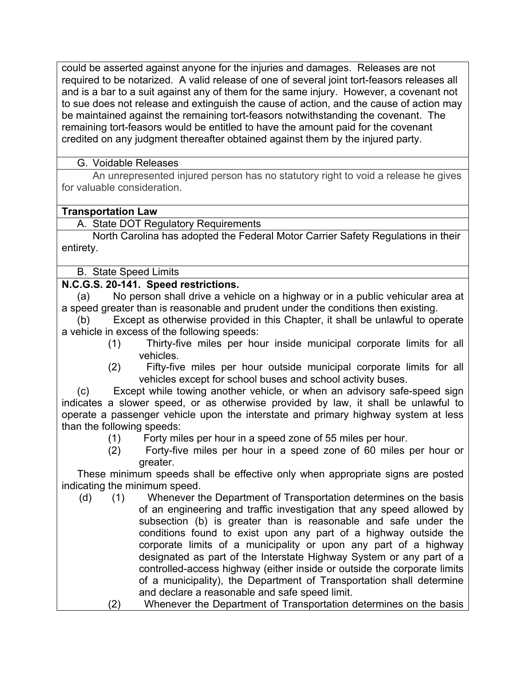could be asserted against anyone for the injuries and damages. Releases are not required to be notarized. A valid release of one of several joint tort-feasors releases all and is a bar to a suit against any of them for the same injury. However, a covenant not to sue does not release and extinguish the cause of action, and the cause of action may be maintained against the remaining tort-feasors notwithstanding the covenant. The remaining tort-feasors would be entitled to have the amount paid for the covenant credited on any judgment thereafter obtained against them by the injured party.

## G. Voidable Releases

An unrepresented injured person has no statutory right to void a release he gives for valuable consideration.

## **Transportation Law**

A. State DOT Regulatory Requirements

North Carolina has adopted the Federal Motor Carrier Safety Regulations in their entirety.

### B. State Speed Limits

### **N.C.G.S. 20-141. Speed restrictions.**

(a) No person shall drive a vehicle on a highway or in a public vehicular area at a speed greater than is reasonable and prudent under the conditions then existing.

(b) Except as otherwise provided in this Chapter, it shall be unlawful to operate a vehicle in excess of the following speeds:

- (1) Thirty-five miles per hour inside municipal corporate limits for all vehicles.
- (2) Fifty-five miles per hour outside municipal corporate limits for all vehicles except for school buses and school activity buses.

(c) Except while towing another vehicle, or when an advisory safe-speed sign indicates a slower speed, or as otherwise provided by law, it shall be unlawful to operate a passenger vehicle upon the interstate and primary highway system at less than the following speeds:

- (1) Forty miles per hour in a speed zone of 55 miles per hour.
- (2) Forty-five miles per hour in a speed zone of 60 miles per hour or greater.

These minimum speeds shall be effective only when appropriate signs are posted indicating the minimum speed.

- (d) (1) Whenever the Department of Transportation determines on the basis of an engineering and traffic investigation that any speed allowed by subsection (b) is greater than is reasonable and safe under the conditions found to exist upon any part of a highway outside the corporate limits of a municipality or upon any part of a highway designated as part of the Interstate Highway System or any part of a controlled-access highway (either inside or outside the corporate limits of a municipality), the Department of Transportation shall determine and declare a reasonable and safe speed limit.
	- (2) Whenever the Department of Transportation determines on the basis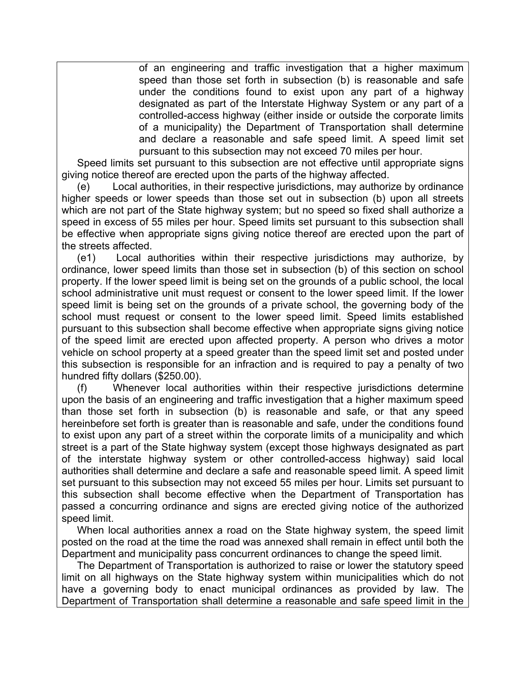of an engineering and traffic investigation that a higher maximum speed than those set forth in subsection (b) is reasonable and safe under the conditions found to exist upon any part of a highway designated as part of the Interstate Highway System or any part of a controlled-access highway (either inside or outside the corporate limits of a municipality) the Department of Transportation shall determine and declare a reasonable and safe speed limit. A speed limit set pursuant to this subsection may not exceed 70 miles per hour.

Speed limits set pursuant to this subsection are not effective until appropriate signs giving notice thereof are erected upon the parts of the highway affected.

(e) Local authorities, in their respective jurisdictions, may authorize by ordinance higher speeds or lower speeds than those set out in subsection (b) upon all streets which are not part of the State highway system; but no speed so fixed shall authorize a speed in excess of 55 miles per hour. Speed limits set pursuant to this subsection shall be effective when appropriate signs giving notice thereof are erected upon the part of the streets affected.

(e1) Local authorities within their respective jurisdictions may authorize, by ordinance, lower speed limits than those set in subsection (b) of this section on school property. If the lower speed limit is being set on the grounds of a public school, the local school administrative unit must request or consent to the lower speed limit. If the lower speed limit is being set on the grounds of a private school, the governing body of the school must request or consent to the lower speed limit. Speed limits established pursuant to this subsection shall become effective when appropriate signs giving notice of the speed limit are erected upon affected property. A person who drives a motor vehicle on school property at a speed greater than the speed limit set and posted under this subsection is responsible for an infraction and is required to pay a penalty of two hundred fifty dollars (\$250.00).

(f) Whenever local authorities within their respective jurisdictions determine upon the basis of an engineering and traffic investigation that a higher maximum speed than those set forth in subsection (b) is reasonable and safe, or that any speed hereinbefore set forth is greater than is reasonable and safe, under the conditions found to exist upon any part of a street within the corporate limits of a municipality and which street is a part of the State highway system (except those highways designated as part of the interstate highway system or other controlled-access highway) said local authorities shall determine and declare a safe and reasonable speed limit. A speed limit set pursuant to this subsection may not exceed 55 miles per hour. Limits set pursuant to this subsection shall become effective when the Department of Transportation has passed a concurring ordinance and signs are erected giving notice of the authorized speed limit.

When local authorities annex a road on the State highway system, the speed limit posted on the road at the time the road was annexed shall remain in effect until both the Department and municipality pass concurrent ordinances to change the speed limit.

The Department of Transportation is authorized to raise or lower the statutory speed limit on all highways on the State highway system within municipalities which do not have a governing body to enact municipal ordinances as provided by law. The Department of Transportation shall determine a reasonable and safe speed limit in the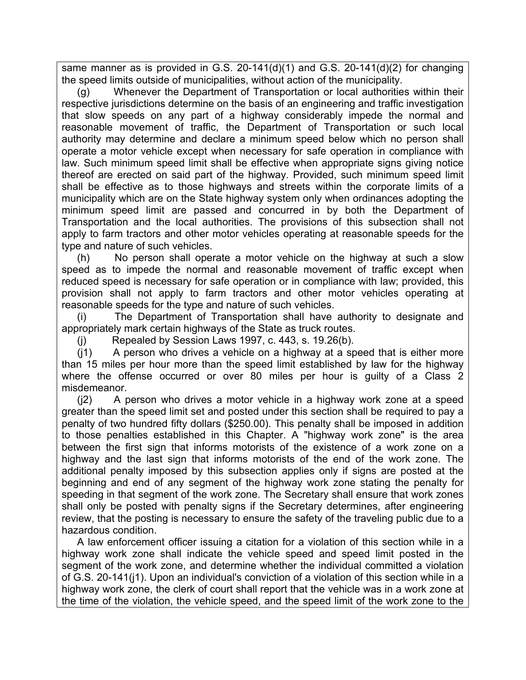same manner as is provided in G.S. 20-141(d)(1) and G.S. 20-141(d)(2) for changing the speed limits outside of municipalities, without action of the municipality.

(g) Whenever the Department of Transportation or local authorities within their respective jurisdictions determine on the basis of an engineering and traffic investigation that slow speeds on any part of a highway considerably impede the normal and reasonable movement of traffic, the Department of Transportation or such local authority may determine and declare a minimum speed below which no person shall operate a motor vehicle except when necessary for safe operation in compliance with law. Such minimum speed limit shall be effective when appropriate signs giving notice thereof are erected on said part of the highway. Provided, such minimum speed limit shall be effective as to those highways and streets within the corporate limits of a municipality which are on the State highway system only when ordinances adopting the minimum speed limit are passed and concurred in by both the Department of Transportation and the local authorities. The provisions of this subsection shall not apply to farm tractors and other motor vehicles operating at reasonable speeds for the type and nature of such vehicles.

(h) No person shall operate a motor vehicle on the highway at such a slow speed as to impede the normal and reasonable movement of traffic except when reduced speed is necessary for safe operation or in compliance with law; provided, this provision shall not apply to farm tractors and other motor vehicles operating at reasonable speeds for the type and nature of such vehicles.

(i) The Department of Transportation shall have authority to designate and appropriately mark certain highways of the State as truck routes.

(j) Repealed by Session Laws 1997, c. 443, s. 19.26(b).

(j1) A person who drives a vehicle on a highway at a speed that is either more than 15 miles per hour more than the speed limit established by law for the highway where the offense occurred or over 80 miles per hour is guilty of a Class 2 misdemeanor.

(j2) A person who drives a motor vehicle in a highway work zone at a speed greater than the speed limit set and posted under this section shall be required to pay a penalty of two hundred fifty dollars (\$250.00). This penalty shall be imposed in addition to those penalties established in this Chapter. A "highway work zone" is the area between the first sign that informs motorists of the existence of a work zone on a highway and the last sign that informs motorists of the end of the work zone. The additional penalty imposed by this subsection applies only if signs are posted at the beginning and end of any segment of the highway work zone stating the penalty for speeding in that segment of the work zone. The Secretary shall ensure that work zones shall only be posted with penalty signs if the Secretary determines, after engineering review, that the posting is necessary to ensure the safety of the traveling public due to a hazardous condition.

A law enforcement officer issuing a citation for a violation of this section while in a highway work zone shall indicate the vehicle speed and speed limit posted in the segment of the work zone, and determine whether the individual committed a violation of G.S. 20-141(j1). Upon an individual's conviction of a violation of this section while in a highway work zone, the clerk of court shall report that the vehicle was in a work zone at the time of the violation, the vehicle speed, and the speed limit of the work zone to the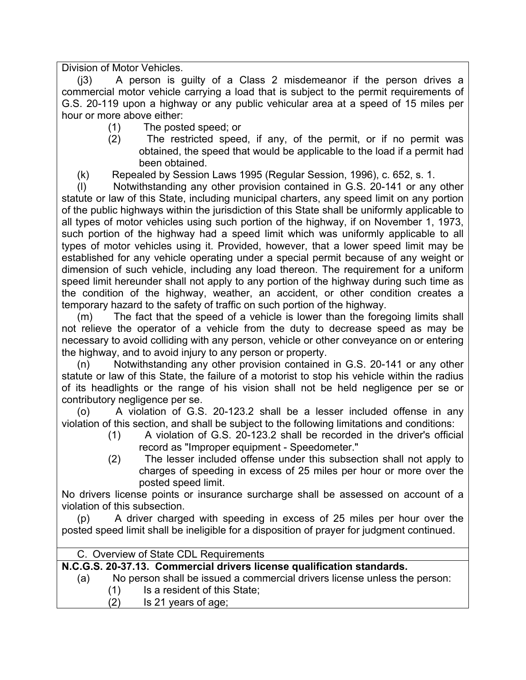Division of Motor Vehicles.

(j3) A person is guilty of a Class 2 misdemeanor if the person drives a commercial motor vehicle carrying a load that is subject to the permit requirements of G.S. 20-119 upon a highway or any public vehicular area at a speed of 15 miles per hour or more above either:

- (1) The posted speed; or
- (2) The restricted speed, if any, of the permit, or if no permit was obtained, the speed that would be applicable to the load if a permit had been obtained.
- (k) Repealed by Session Laws 1995 (Regular Session, 1996), c. 652, s. 1.

(l) Notwithstanding any other provision contained in G.S. 20-141 or any other statute or law of this State, including municipal charters, any speed limit on any portion of the public highways within the jurisdiction of this State shall be uniformly applicable to all types of motor vehicles using such portion of the highway, if on November 1, 1973, such portion of the highway had a speed limit which was uniformly applicable to all types of motor vehicles using it. Provided, however, that a lower speed limit may be established for any vehicle operating under a special permit because of any weight or dimension of such vehicle, including any load thereon. The requirement for a uniform speed limit hereunder shall not apply to any portion of the highway during such time as the condition of the highway, weather, an accident, or other condition creates a temporary hazard to the safety of traffic on such portion of the highway.

(m) The fact that the speed of a vehicle is lower than the foregoing limits shall not relieve the operator of a vehicle from the duty to decrease speed as may be necessary to avoid colliding with any person, vehicle or other conveyance on or entering the highway, and to avoid injury to any person or property.

(n) Notwithstanding any other provision contained in G.S. 20-141 or any other statute or law of this State, the failure of a motorist to stop his vehicle within the radius of its headlights or the range of his vision shall not be held negligence per se or contributory negligence per se.

(o) A violation of G.S. 20-123.2 shall be a lesser included offense in any violation of this section, and shall be subject to the following limitations and conditions:

- (1) A violation of G.S. 20-123.2 shall be recorded in the driver's official record as "Improper equipment - Speedometer."
- (2) The lesser included offense under this subsection shall not apply to charges of speeding in excess of 25 miles per hour or more over the posted speed limit.

No drivers license points or insurance surcharge shall be assessed on account of a violation of this subsection.

(p) A driver charged with speeding in excess of 25 miles per hour over the posted speed limit shall be ineligible for a disposition of prayer for judgment continued.

### C. Overview of State CDL Requirements

#### **N.C.G.S. 20-37.13. Commercial drivers license qualification standards.**

- (a) No person shall be issued a commercial drivers license unless the person:
	- (1) Is a resident of this State;
	- (2) Is 21 years of age;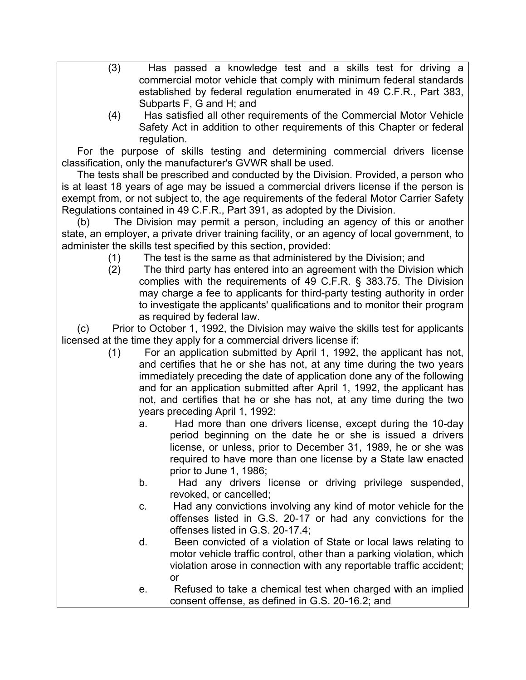- (3) Has passed a knowledge test and a skills test for driving a commercial motor vehicle that comply with minimum federal standards established by federal regulation enumerated in 49 C.F.R., Part 383, Subparts F, G and H; and
- (4) Has satisfied all other requirements of the Commercial Motor Vehicle Safety Act in addition to other requirements of this Chapter or federal regulation.

For the purpose of skills testing and determining commercial drivers license classification, only the manufacturer's GVWR shall be used.

The tests shall be prescribed and conducted by the Division. Provided, a person who is at least 18 years of age may be issued a commercial drivers license if the person is exempt from, or not subject to, the age requirements of the federal Motor Carrier Safety Regulations contained in 49 C.F.R., Part 391, as adopted by the Division.

(b) The Division may permit a person, including an agency of this or another state, an employer, a private driver training facility, or an agency of local government, to administer the skills test specified by this section, provided:

- (1) The test is the same as that administered by the Division; and
- (2) The third party has entered into an agreement with the Division which complies with the requirements of 49 C.F.R. § 383.75. The Division may charge a fee to applicants for third-party testing authority in order to investigate the applicants' qualifications and to monitor their program as required by federal law.

(c) Prior to October 1, 1992, the Division may waive the skills test for applicants licensed at the time they apply for a commercial drivers license if:

- (1) For an application submitted by April 1, 1992, the applicant has not, and certifies that he or she has not, at any time during the two years immediately preceding the date of application done any of the following and for an application submitted after April 1, 1992, the applicant has not, and certifies that he or she has not, at any time during the two years preceding April 1, 1992:
	- a. Had more than one drivers license, except during the 10-day period beginning on the date he or she is issued a drivers license, or unless, prior to December 31, 1989, he or she was required to have more than one license by a State law enacted prior to June 1, 1986;
	- b. Had any drivers license or driving privilege suspended, revoked, or cancelled;
	- c. Had any convictions involving any kind of motor vehicle for the offenses listed in G.S. 20-17 or had any convictions for the offenses listed in G.S. 20-17.4;
	- d. Been convicted of a violation of State or local laws relating to motor vehicle traffic control, other than a parking violation, which violation arose in connection with any reportable traffic accident; or
	- e. Refused to take a chemical test when charged with an implied consent offense, as defined in G.S. 20-16.2; and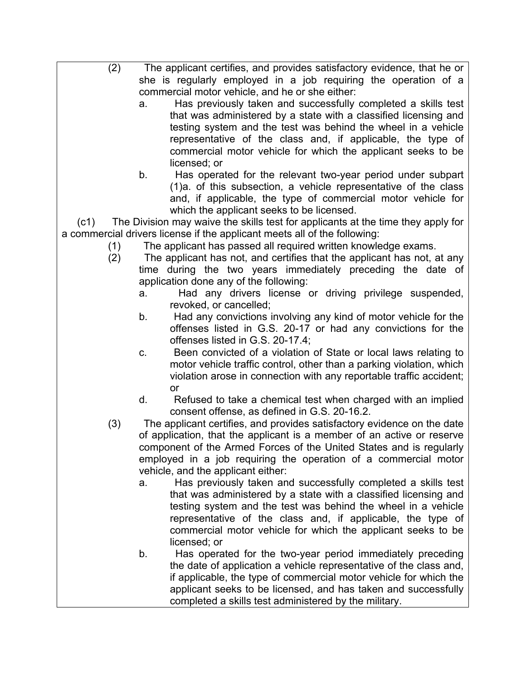- (2) The applicant certifies, and provides satisfactory evidence, that he or she is regularly employed in a job requiring the operation of a commercial motor vehicle, and he or she either:
	- a. Has previously taken and successfully completed a skills test that was administered by a state with a classified licensing and testing system and the test was behind the wheel in a vehicle representative of the class and, if applicable, the type of commercial motor vehicle for which the applicant seeks to be licensed; or
	- b. Has operated for the relevant two-year period under subpart (1)a. of this subsection, a vehicle representative of the class and, if applicable, the type of commercial motor vehicle for which the applicant seeks to be licensed.

(c1) The Division may waive the skills test for applicants at the time they apply for a commercial drivers license if the applicant meets all of the following:

- (1) The applicant has passed all required written knowledge exams.
- (2) The applicant has not, and certifies that the applicant has not, at any time during the two years immediately preceding the date of application done any of the following:
	- a. Had any drivers license or driving privilege suspended, revoked, or cancelled;
	- b. Had any convictions involving any kind of motor vehicle for the offenses listed in G.S. 20-17 or had any convictions for the offenses listed in G.S. 20-17.4;
	- c. Been convicted of a violation of State or local laws relating to motor vehicle traffic control, other than a parking violation, which violation arose in connection with any reportable traffic accident; or
	- d. Refused to take a chemical test when charged with an implied consent offense, as defined in G.S. 20-16.2.
- (3) The applicant certifies, and provides satisfactory evidence on the date of application, that the applicant is a member of an active or reserve component of the Armed Forces of the United States and is regularly employed in a job requiring the operation of a commercial motor vehicle, and the applicant either:
	- a. Has previously taken and successfully completed a skills test that was administered by a state with a classified licensing and testing system and the test was behind the wheel in a vehicle representative of the class and, if applicable, the type of commercial motor vehicle for which the applicant seeks to be licensed; or
	- b. Has operated for the two-year period immediately preceding the date of application a vehicle representative of the class and, if applicable, the type of commercial motor vehicle for which the applicant seeks to be licensed, and has taken and successfully completed a skills test administered by the military.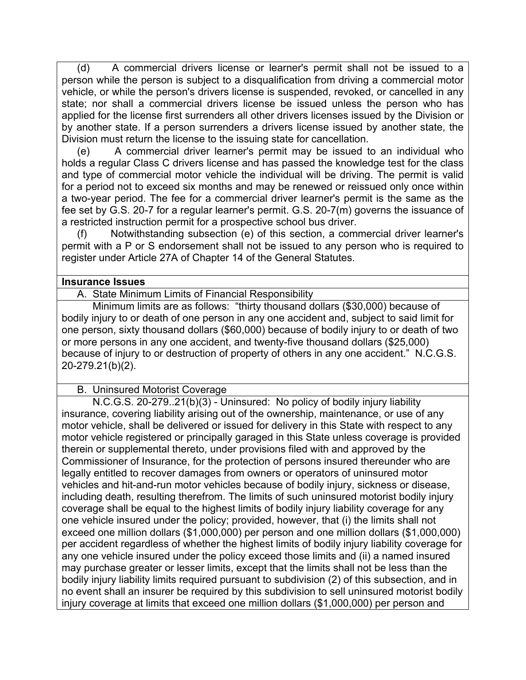(d) A commercial drivers license or learner's permit shall not be issued to a person while the person is subject to a disqualification from driving a commercial motor vehicle, or while the person's drivers license is suspended, revoked, or cancelled in any state; nor shall a commercial drivers license be issued unless the person who has applied for the license first surrenders all other drivers licenses issued by the Division or by another state. If a person surrenders a drivers license issued by another state, the Division must return the license to the issuing state for cancellation.

(e) A commercial driver learner's permit may be issued to an individual who holds a regular Class C drivers license and has passed the knowledge test for the class and type of commercial motor vehicle the individual will be driving. The permit is valid for a period not to exceed six months and may be renewed or reissued only once within a two-year period. The fee for a commercial driver learner's permit is the same as the fee set by G.S. 20-7 for a regular learner's permit. G.S. 20-7(m) governs the issuance of a restricted instruction permit for a prospective school bus driver.

(f) Notwithstanding subsection (e) of this section, a commercial driver learner's permit with a P or S endorsement shall not be issued to any person who is required to register under Article 27A of Chapter 14 of the General Statutes.

### **Insurance Issues**

A. State Minimum Limits of Financial Responsibility

Minimum limits are as follows: "thirty thousand dollars (\$30,000) because of bodily injury to or death of one person in any one accident and, subject to said limit for one person, sixty thousand dollars (\$60,000) because of bodily injury to or death of two or more persons in any one accident, and twenty-five thousand dollars (\$25,000) because of injury to or destruction of property of others in any one accident." N.C.G.S. 20-279.21(b)(2).

#### B. Uninsured Motorist Coverage

N.C.G.S. 20-279..21(b)(3) - Uninsured: No policy of bodily injury liability insurance, covering liability arising out of the ownership, maintenance, or use of any motor vehicle, shall be delivered or issued for delivery in this State with respect to any motor vehicle registered or principally garaged in this State unless coverage is provided therein or supplemental thereto, under provisions filed with and approved by the Commissioner of Insurance, for the protection of persons insured thereunder who are legally entitled to recover damages from owners or operators of uninsured motor vehicles and hit-and-run motor vehicles because of bodily injury, sickness or disease, including death, resulting therefrom. The limits of such uninsured motorist bodily injury coverage shall be equal to the highest limits of bodily injury liability coverage for any one vehicle insured under the policy; provided, however, that (i) the limits shall not exceed one million dollars (\$1,000,000) per person and one million dollars (\$1,000,000) per accident regardless of whether the highest limits of bodily injury liability coverage for any one vehicle insured under the policy exceed those limits and (ii) a named insured may purchase greater or lesser limits, except that the limits shall not be less than the bodily injury liability limits required pursuant to subdivision (2) of this subsection, and in no event shall an insurer be required by this subdivision to sell uninsured motorist bodily injury coverage at limits that exceed one million dollars (\$1,000,000) per person and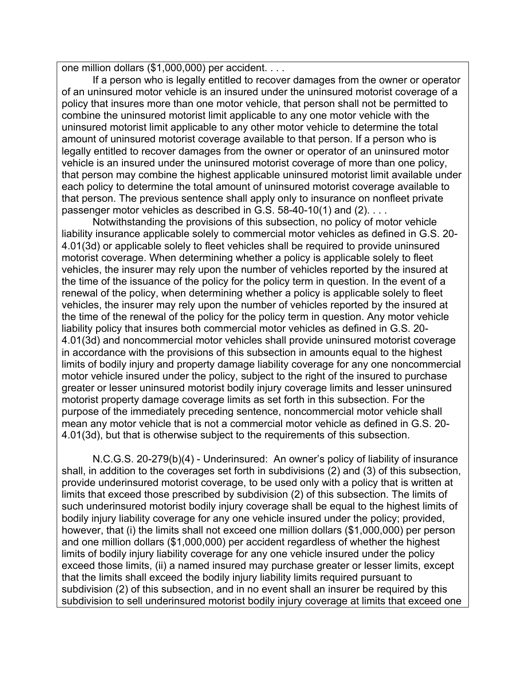one million dollars (\$1,000,000) per accident. . . .

If a person who is legally entitled to recover damages from the owner or operator of an uninsured motor vehicle is an insured under the uninsured motorist coverage of a policy that insures more than one motor vehicle, that person shall not be permitted to combine the uninsured motorist limit applicable to any one motor vehicle with the uninsured motorist limit applicable to any other motor vehicle to determine the total amount of uninsured motorist coverage available to that person. If a person who is legally entitled to recover damages from the owner or operator of an uninsured motor vehicle is an insured under the uninsured motorist coverage of more than one policy, that person may combine the highest applicable uninsured motorist limit available under each policy to determine the total amount of uninsured motorist coverage available to that person. The previous sentence shall apply only to insurance on nonfleet private passenger motor vehicles as described in G.S. 58-40-10(1) and (2). ...

Notwithstanding the provisions of this subsection, no policy of motor vehicle liability insurance applicable solely to commercial motor vehicles as defined in G.S. 20- 4.01(3d) or applicable solely to fleet vehicles shall be required to provide uninsured motorist coverage. When determining whether a policy is applicable solely to fleet vehicles, the insurer may rely upon the number of vehicles reported by the insured at the time of the issuance of the policy for the policy term in question. In the event of a renewal of the policy, when determining whether a policy is applicable solely to fleet vehicles, the insurer may rely upon the number of vehicles reported by the insured at the time of the renewal of the policy for the policy term in question. Any motor vehicle liability policy that insures both commercial motor vehicles as defined in G.S. 20- 4.01(3d) and noncommercial motor vehicles shall provide uninsured motorist coverage in accordance with the provisions of this subsection in amounts equal to the highest limits of bodily injury and property damage liability coverage for any one noncommercial motor vehicle insured under the policy, subject to the right of the insured to purchase greater or lesser uninsured motorist bodily injury coverage limits and lesser uninsured motorist property damage coverage limits as set forth in this subsection. For the purpose of the immediately preceding sentence, noncommercial motor vehicle shall mean any motor vehicle that is not a commercial motor vehicle as defined in G.S. 20- 4.01(3d), but that is otherwise subject to the requirements of this subsection.

N.C.G.S. 20-279(b)(4) - Underinsured: An owner's policy of liability of insurance shall, in addition to the coverages set forth in subdivisions (2) and (3) of this subsection, provide underinsured motorist coverage, to be used only with a policy that is written at limits that exceed those prescribed by subdivision (2) of this subsection. The limits of such underinsured motorist bodily injury coverage shall be equal to the highest limits of bodily injury liability coverage for any one vehicle insured under the policy; provided, however, that (i) the limits shall not exceed one million dollars (\$1,000,000) per person and one million dollars (\$1,000,000) per accident regardless of whether the highest limits of bodily injury liability coverage for any one vehicle insured under the policy exceed those limits, (ii) a named insured may purchase greater or lesser limits, except that the limits shall exceed the bodily injury liability limits required pursuant to subdivision (2) of this subsection, and in no event shall an insurer be required by this subdivision to sell underinsured motorist bodily injury coverage at limits that exceed one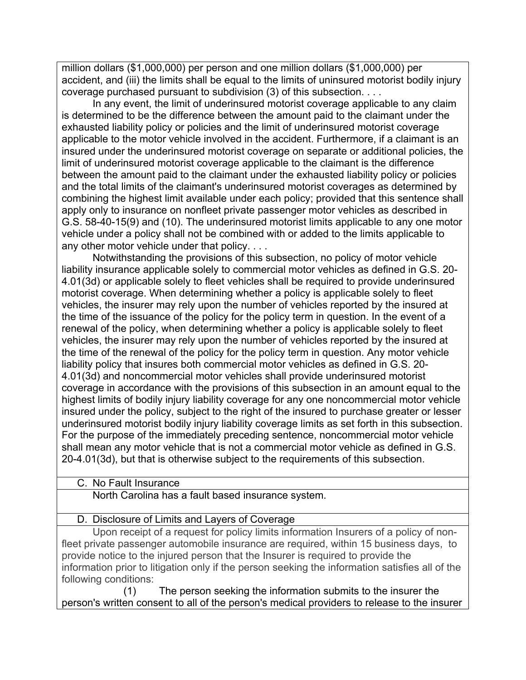million dollars (\$1,000,000) per person and one million dollars (\$1,000,000) per accident, and (iii) the limits shall be equal to the limits of uninsured motorist bodily injury coverage purchased pursuant to subdivision (3) of this subsection. . . .

In any event, the limit of underinsured motorist coverage applicable to any claim is determined to be the difference between the amount paid to the claimant under the exhausted liability policy or policies and the limit of underinsured motorist coverage applicable to the motor vehicle involved in the accident. Furthermore, if a claimant is an insured under the underinsured motorist coverage on separate or additional policies, the limit of underinsured motorist coverage applicable to the claimant is the difference between the amount paid to the claimant under the exhausted liability policy or policies and the total limits of the claimant's underinsured motorist coverages as determined by combining the highest limit available under each policy; provided that this sentence shall apply only to insurance on nonfleet private passenger motor vehicles as described in G.S. 58-40-15(9) and (10). The underinsured motorist limits applicable to any one motor vehicle under a policy shall not be combined with or added to the limits applicable to any other motor vehicle under that policy. . . .

Notwithstanding the provisions of this subsection, no policy of motor vehicle liability insurance applicable solely to commercial motor vehicles as defined in G.S. 20- 4.01(3d) or applicable solely to fleet vehicles shall be required to provide underinsured motorist coverage. When determining whether a policy is applicable solely to fleet vehicles, the insurer may rely upon the number of vehicles reported by the insured at the time of the issuance of the policy for the policy term in question. In the event of a renewal of the policy, when determining whether a policy is applicable solely to fleet vehicles, the insurer may rely upon the number of vehicles reported by the insured at the time of the renewal of the policy for the policy term in question. Any motor vehicle liability policy that insures both commercial motor vehicles as defined in G.S. 20- 4.01(3d) and noncommercial motor vehicles shall provide underinsured motorist coverage in accordance with the provisions of this subsection in an amount equal to the highest limits of bodily injury liability coverage for any one noncommercial motor vehicle insured under the policy, subject to the right of the insured to purchase greater or lesser underinsured motorist bodily injury liability coverage limits as set forth in this subsection. For the purpose of the immediately preceding sentence, noncommercial motor vehicle shall mean any motor vehicle that is not a commercial motor vehicle as defined in G.S. 20-4.01(3d), but that is otherwise subject to the requirements of this subsection.

### C. No Fault Insurance

North Carolina has a fault based insurance system.

D. Disclosure of Limits and Layers of Coverage

Upon receipt of a request for policy limits information Insurers of a policy of nonfleet private passenger automobile insurance are required, within 15 business days, to provide notice to the injured person that the Insurer is required to provide the information prior to litigation only if the person seeking the information satisfies all of the following conditions:

(1) The person seeking the information submits to the insurer the person's written consent to all of the person's medical providers to release to the insurer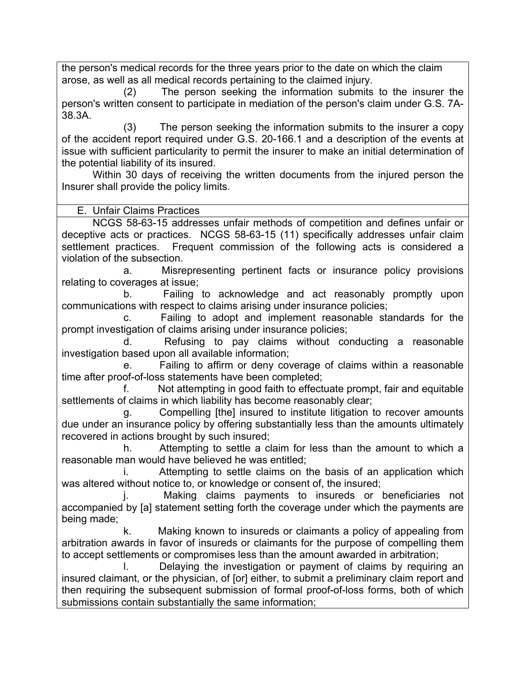the person's medical records for the three years prior to the date on which the claim arose, as well as all medical records pertaining to the claimed injury.

 (2) The person seeking the information submits to the insurer the person's written consent to participate in mediation of the person's claim under G.S. 7A-38.3A.

 (3) The person seeking the information submits to the insurer a copy of the accident report required under G.S. 20-166.1 and a description of the events at issue with sufficient particularity to permit the insurer to make an initial determination of the potential liability of its insured.

Within 30 days of receiving the written documents from the injured person the Insurer shall provide the policy limits.

### E. Unfair Claims Practices

NCGS 58-63-15 addresses unfair methods of competition and defines unfair or deceptive acts or practices. NCGS 58-63-15 (11) specifically addresses unfair claim settlement practices. Frequent commission of the following acts is considered a violation of the subsection.

a. Misrepresenting pertinent facts or insurance policy provisions relating to coverages at issue;

b. Failing to acknowledge and act reasonably promptly upon communications with respect to claims arising under insurance policies;

c. Failing to adopt and implement reasonable standards for the prompt investigation of claims arising under insurance policies;

d. Refusing to pay claims without conducting a reasonable investigation based upon all available information;

e. Failing to affirm or deny coverage of claims within a reasonable time after proof-of-loss statements have been completed;

f. Not attempting in good faith to effectuate prompt, fair and equitable settlements of claims in which liability has become reasonably clear;

g. Compelling [the] insured to institute litigation to recover amounts due under an insurance policy by offering substantially less than the amounts ultimately recovered in actions brought by such insured;

h. Attempting to settle a claim for less than the amount to which a reasonable man would have believed he was entitled;

i. Attempting to settle claims on the basis of an application which was altered without notice to, or knowledge or consent of, the insured;

j. Making claims payments to insureds or beneficiaries not accompanied by [a] statement setting forth the coverage under which the payments are being made;

k. Making known to insureds or claimants a policy of appealing from arbitration awards in favor of insureds or claimants for the purpose of compelling them to accept settlements or compromises less than the amount awarded in arbitration;

l. Delaying the investigation or payment of claims by requiring an insured claimant, or the physician, of [or] either, to submit a preliminary claim report and then requiring the subsequent submission of formal proof-of-loss forms, both of which submissions contain substantially the same information;